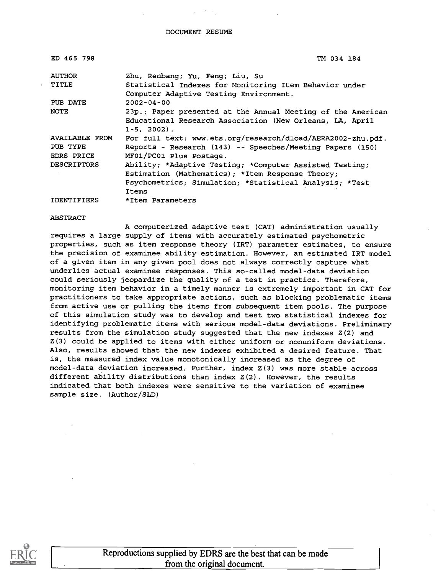| ED 465 798         | TM 034 184                                                  |
|--------------------|-------------------------------------------------------------|
| <b>AUTHOR</b>      | Zhu, Renbang; Yu, Feng; Liu, Su                             |
| <b>TITLE</b>       | Statistical Indexes for Monitoring Item Behavior under      |
|                    | Computer Adaptive Testing Environment.                      |
| PUB DATE           | $2002 - 04 - 00$                                            |
| NOTE               | 23p.; Paper presented at the Annual Meeting of the American |
|                    | Educational Research Association (New Orleans, LA, April    |
|                    | $1-5, 2002$ .                                               |
| AVAILABLE FROM     | For full text: www.ets.org/research/dload/AERA2002-zhu.pdf. |
| PUB TYPE           | Reports - Research (143) -- Speeches/Meeting Papers (150)   |
| EDRS PRICE         | MF01/PC01 Plus Postage.                                     |
| <b>DESCRIPTORS</b> | Ability; *Adaptive Testing; *Computer Assisted Testing;     |
|                    | Estimation (Mathematics); *Item Response Theory;            |
|                    | Psychometrics; Simulation; *Statistical Analysis; *Test     |
|                    | Items                                                       |
| <b>IDENTIFIERS</b> | *Item Parameters                                            |

ABSTRACT

A computerized adaptive test (CAT) administration usually requires a large supply of items with accurately estimated psychometric properties, such as item response theory (IRT) parameter estimates, to ensure the precision of examinee ability estimation. However, an estimated IRT model of a given item in any given pool does not always correctly capture what underlies actual examinee responses. This so-called model-data deviation could seriously jeopardize the quality of a test in practice. Therefore, monitoring item behavior in a timely manner is extremely important in CAT for practitioners to take appropriate actions, such as blocking problematic items from active use or pulling the items from subsequent item pools. The purpose of this simulation study was to develop and test two statistical indexes for identifying problematic items with serious model-data deviations. Preliminary results from the simulation study suggested that the new indexes Z(2) and Z(3) could be applied to items with either uniform or nonuniform deviations. Also, results showed that the new indexes exhibited a desired feature. That is, the measured index value monotonically increased as the degree of model-data deviation increased. Further, index Z(3) was more stable across different ability distributions than index Z(2). However, the results indicated that both indexes were sensitive to the variation of examinee sample size. (Author/SLD)

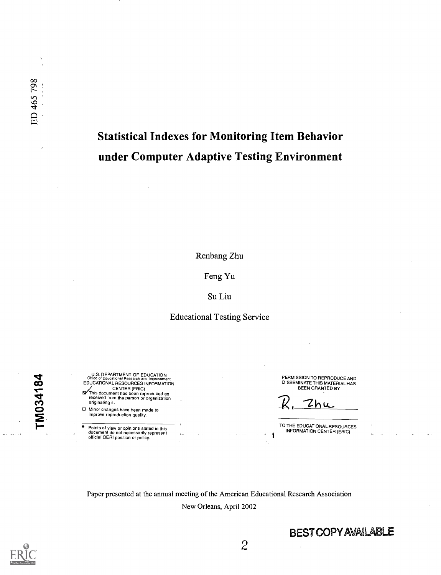# Statistical Indexes for Monitoring Item Behavior under Computer Adaptive Testing Environment

Renbang Zhu

Feng Yu

Su Liu

#### Educational Testing Service

U.S. DEPARTMENT OF EDUCATION<br>
Office of Educational Research and Improvement CO EDUCATIONAL RESOURCES INFORMATION<br>CENTER (ERIC)<br>This document has been reproduced as<br>received from the person or organization er) originating it.

0 Minor changes have been made to 2 improve reproduction quality.

Points of view or opinions stated in this document do not necessarily represent official OERI position or policy.

PERMISSION TO REPRODUCE AND DISSEMINATE THIS MATERIAL HAS BEEN GRANTED BY

 $R, 2hu$ 

1

TO THE EDUCATIONAL RESOURCES INFORMATION CENTER (ERIC)

Paper presented at the annual meeting of the American Educational Research Association New Orleans, April 2002

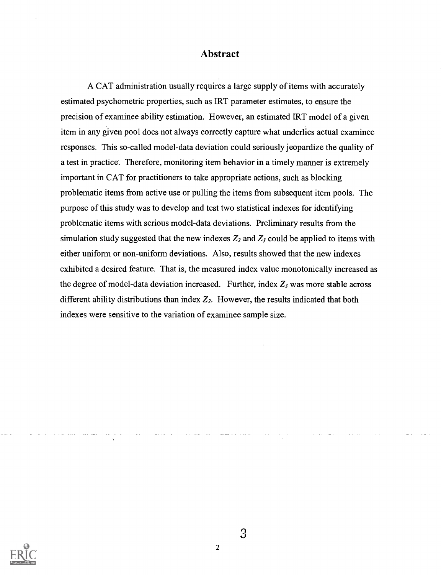#### Abstract

A CAT administration usually requires a large supply of items with accurately estimated psychometric properties, such as IRT parameter estimates, to ensure the precision of examinee ability estimation. However, an estimated IRT model of a given item in any given pool does not always correctly capture what underlies actual examinee responses. This so-called model-data deviation could seriously jeopardize the quality of a test in practice. Therefore, monitoring item behavior in a timely manner is extremely important in CAT for practitioners to take appropriate actions, such as blocking problematic items from active use or pulling the items from subsequent item pools. The purpose of this study was to develop and test two statistical indexes for identifying problematic items with serious model-data deviations. Preliminary results from the simulation study suggested that the new indexes  $Z_2$  and  $Z_3$  could be applied to items with either uniform or non-uniform deviations. Also, results showed that the new indexes exhibited a desired feature. That is, the measured index value monotonically increased as the degree of model-data deviation increased. Further, index  $Z_3$  was more stable across different ability distributions than index  $Z_2$ . However, the results indicated that both indexes were sensitive to the variation of examinee sample size.

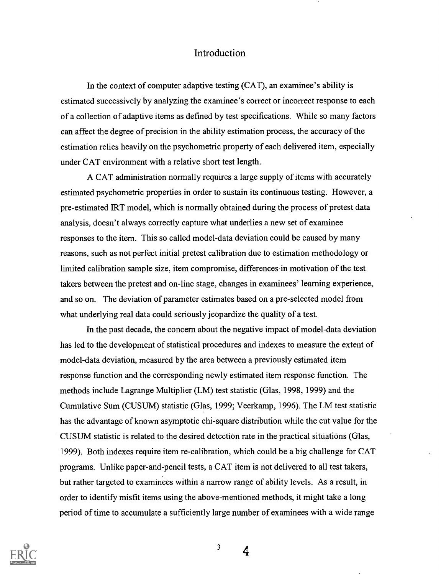#### Introduction

In the context of computer adaptive testing (CAT), an examinee's ability is estimated successively by analyzing the examinee's correct or incorrect response to each of a collection of adaptive items as defined by test specifications. While so many factors can affect the degree of precision in the ability estimation process, the accuracy of the estimation relies heavily on the psychometric property of each delivered item, especially under CAT environment with a relative short test length.

A CAT administration normally requires a large supply of items with accurately estimated psychometric properties in order to sustain its continuous testing. However, a pre-estimated IRT model, which is normally obtained during the process of pretest data analysis, doesn't always correctly capture what underlies a new set of examinee responses to the item. This so called model-data deviation could be caused by many reasons, such as not perfect initial pretest calibration due to estimation methodology or limited calibration sample size, item compromise, differences in motivation of the test takers between the pretest and on-line stage, changes in examinees' learning experience, and so on. The deviation of parameter estimates based on a pre-selected model from what underlying real data could seriously jeopardize the quality of a test.

In the past decade, the concern about the negative impact of model-data deviation has led to the development of statistical procedures and indexes to measure the extent of model-data deviation, measured by the area between a previously estimated item response function and the corresponding newly estimated item response function. The methods include Lagrange Multiplier (LM) test statistic (Glas, 1998, 1999) and the Cumulative Sum (CUSUM) statistic (Glas, 1999; Veerkamp, 1996). The LM test statistic has the advantage of known asymptotic chi-square distribution while the cut value for the CUSUM statistic is related to the desired detection rate in the practical situations (Glas, 1999). Both indexes require item re-calibration, which could be a big challenge for CAT programs. Unlike paper-and-pencil tests, a CAT item is not delivered to all test takers, but rather targeted to examinees within a narrow range of ability levels. As a result, in order to identify misfit items using the above-mentioned methods, it might take a long period of time to accumulate a sufficiently large number of examinees with a wide range



3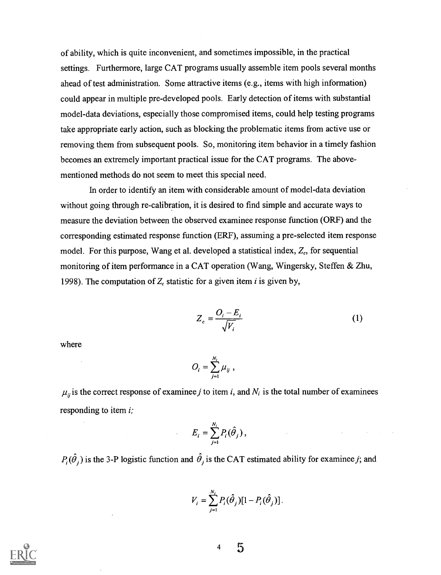of ability, which is quite inconvenient, and sometimes impossible, in the practical settings. Furthermore, large CAT programs usually assemble item pools several months ahead of test administration. Some attractive items (e.g., items with high information) could appear in multiple pre-developed pools. Early detection of items with substantial model-data deviations, especially those compromised items, could help testing programs take appropriate early action, such as blocking the problematic items from active use or removing them from subsequent pools. So, monitoring item behavior in a timely fashion becomes an extremely important practical issue for the CAT programs. The abovementioned methods do not seem to meet this special need.

In order to identify an item with considerable amount of model-data deviation without going through re-calibration, it is desired to find simple and accurate ways to measure the deviation between the observed examinee response function (ORF) and the corresponding estimated response function (ERF), assuming a pre-selected item response model. For this purpose, Wang et al. developed a statistical index,  $Z_c$ , for sequential monitoring of item performance in a CAT operation (Wang, Wingersky, Steffen & Zhu, 1998). The computation of  $Z_c$  statistic for a given item *i* is given by,

$$
Z_c = \frac{O_i - E_i}{\sqrt{V_i}}\tag{1}
$$

where

$$
O_i=\sum_{j=1}^{N_i}\mu_{ij}\;,
$$

 $\mu_{ij}$  is the correct response of examinee j to item i, and  $N_i$  is the total number of examinees responding to item i;

$$
E_i = \sum_{j=1}^{N_i} P_i(\hat{\theta}_j),
$$

 $P_i(\hat{\theta}_i)$  is the 3-P logistic function and  $\hat{\theta}_i$  is the CAT estimated ability for examinee j; and

$$
V_i = \sum_{j=1}^{N_i} P_i(\hat{\theta}_j)[1 - P_i(\hat{\theta}_j)].
$$

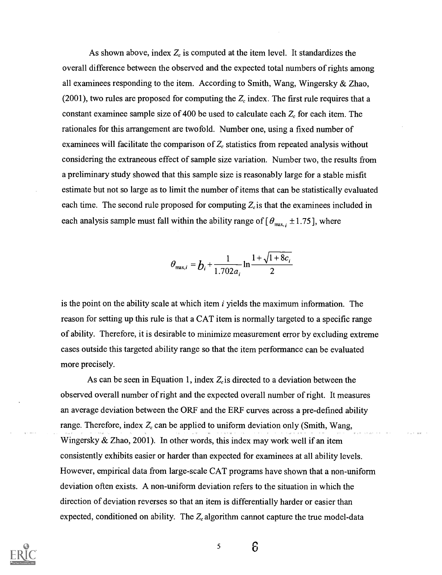As shown above, index  $Z_c$  is computed at the item level. It standardizes the overall difference between the observed and the expected total numbers of rights among all examinees responding to the item. According to Smith, Wang, Wingersky & Zhao, (2001), two rules are proposed for computing the  $Z_c$  index. The first rule requires that a constant examinee sample size of 400 be used to calculate each  $Z_c$  for each item. The rationales for this arrangement are twofold. Number one, using a fixed number of examinees will facilitate the comparison of  $Z_c$  statistics from repeated analysis without considering the extraneous effect of sample size variation. Number two, the results from a preliminary study showed that this sample size is reasonably large for a stable misfit estimate but not so large as to limit the number of items that can be statistically evaluated each time. The second rule proposed for computing  $Z_c$  is that the examinees included in each analysis sample must fall within the ability range of  $\theta_{\text{max},i} \pm 1.75$ , where

$$
\theta_{\max,i} = b_i + \frac{1}{1.702a_i} \ln \frac{1 + \sqrt{1 + 8c_i}}{2}
$$

is the point on the ability scale at which item  $i$  yields the maximum information. The reason for setting up this rule is that a CAT item is normally targeted to a specific range of ability. Therefore, it is desirable to minimize measurement error by excluding extreme cases outside this targeted ability range so that the item performance can be evaluated more precisely.

As can be seen in Equation 1, index  $Z_c$  is directed to a deviation between the observed overall number of right and the expected overall number of right. It measures an average deviation between the ORF and the ERF curves across a pre-defined ability range. Therefore, index  $Z_c$  can be applied to uniform deviation only (Smith, Wang, Wingersky & Zhao, 2001). In other words, this index may work well if an item consistently exhibits easier or harder than expected for examinees at all ability levels. However, empirical data from large-scale CAT programs have shown that a non-uniform deviation often exists. A non-uniform deviation refers to the situation in which the direction of deviation reverses so that an item is differentially harder or easier than expected, conditioned on ability. The  $Z_c$  algorithm cannot capture the true model-data



5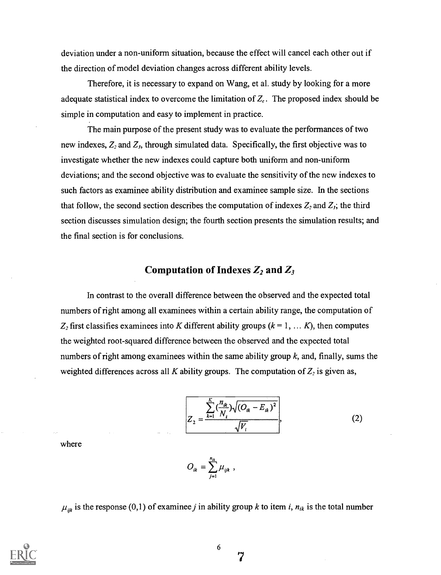deviation under a non-uniform situation, because the effect will cancel each other out if the direction of model deviation changes across different ability levels.

Therefore, it is necessary to expand on Wang, et al. study by looking for a more adequate statistical index to overcome the limitation of  $Z_c$ . The proposed index should be simple in computation and easy to implement in practice.

The main purpose of the present study was to evaluate the performances of two new indexes,  $Z_2$  and  $Z_3$ , through simulated data. Specifically, the first objective was to investigate whether the new indexes could capture both uniform and non-uniform deviations; and the second objective was to evaluate the sensitivity of the new indexes to such factors as examinee ability distribution and examinee sample size. In the sections that follow, the second section describes the computation of indexes  $Z_2$  and  $Z_3$ ; the third section discusses simulation design; the fourth section presents the simulation results; and the final section is for conclusions.

#### Computation of Indexes  $Z_2$  and  $Z_3$

In contrast to the overall difference between the observed and the expected total numbers of right among all examinees within a certain ability range, the computation of  $Z_2$  first classifies examinees into K different ability groups ( $k = 1, \ldots K$ ), then computes the weighted root-squared difference between the observed and the expected total numbers of right among examinees within the same ability group  $k$ , and, finally, sums the weighted differences across all K ability groups. The computation of  $Z_2$  is given as,

$$
Z_{2} = \frac{\sum_{k=1}^{K} \left(\frac{n_{ik}}{N_{i}}\right) \sqrt{\left(O_{ik} - E_{ik}\right)^{2}}}{\sqrt{V_{i}}},
$$
 (2)

where

 $=\sum \mu_{ijk}$ ,  $j=1$ 

 $\mu_{ijk}$  is the response (0,1) of examinee j in ability group k to item i,  $n_{ik}$  is the total number



6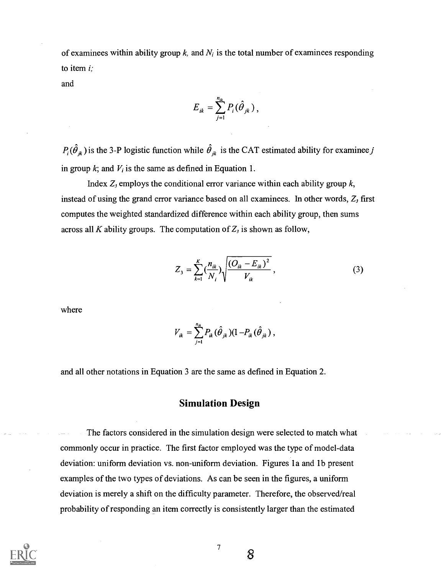of examinees within ability group  $k$ , and  $N_i$  is the total number of examinees responding to item  $i$ ;

and

$$
E_{ik}=\sum_{j=1}^{n_{ik}}P_i(\hat{\theta}_{jk}),
$$

 $P_i(\hat{\theta}_{jk})$  is the 3-P logistic function while  $\hat{\theta}_{jk}$  is the CAT estimated ability for examinee j in group  $k$ ; and  $V_i$  is the same as defined in Equation 1.

Index  $Z_3$  employs the conditional error variance within each ability group  $k$ , instead of using the grand error variance based on all examinees. In other words,  $Z_3$  first computes the weighted standardized difference within each ability group, then sums across all K ability groups. The computation of  $Z_3$  is shown as follow,

$$
Z_{3} = \sum_{k=1}^{K} \left(\frac{n_{ik}}{N_{i}}\right) \sqrt{\frac{\left(O_{ik} - E_{ik}\right)^{2}}{V_{ik}}},
$$
\n(3)

where

$$
V_{ik} = \sum_{j=1}^{n_{ik}} P_{ik} (\hat{\theta}_{jk}) (1 - P_{ik} (\hat{\theta}_{jk}),
$$

and all other notations in Equation 3 are the same as defined in Equation 2.

#### Simulation Design

The factors considered in the simulation design were selected to match what commonly occur in practice. The first factor employed was the type of model-data deviation: uniform deviation vs. non-uniform deviation. Figures la and lb present examples of the two types of deviations. As can be seen in the figures, a uniform deviation is merely a shift on the difficulty parameter. Therefore, the observed/real probability of responding an item correctly is consistently larger than the estimated

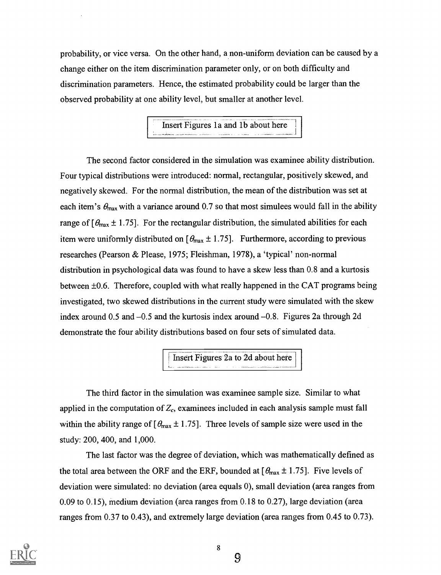probability, or vice versa. On the other hand, a non-uniform deviation can be caused by a change either on the item discrimination parameter only, or on both difficulty and discrimination parameters. Hence, the estimated probability could be larger than the observed probability at one ability level, but smaller at another level.

Insert Figures 1a and 1b about here

The second factor considered in the simulation was examinee ability distribution. Four typical distributions were introduced: normal, rectangular, positively skewed, and negatively skewed. For the normal distribution, the mean of the distribution was set at each item's  $\theta_{\text{max}}$  with a variance around 0.7 so that most simulees would fall in the ability range of  $\theta_{\text{max}} \pm 1.75$ . For the rectangular distribution, the simulated abilities for each item were uniformly distributed on  $[\theta_{\text{max}} \pm 1.75]$ . Furthermore, according to previous researches (Pearson & Please, 1975; Fleishman, 1978), a 'typical' non-normal distribution in psychological data was found to have a skew less than 0.8 and a kurtosis between ±0.6. Therefore, coupled with what really happened in the CAT programs being investigated, two skewed distributions in the current study were simulated with the skew index around  $0.5$  and  $-0.5$  and the kurtosis index around  $-0.8$ . Figures 2a through 2d demonstrate the four ability distributions based on four sets of simulated data.

Insert Figures 2a to 2d about here

The third factor in the simulation was examinee sample size. Similar to what applied in the computation of  $Z_c$ , examinees included in each analysis sample must fall within the ability range of  $\theta_{\text{max}} \pm 1.75$ . Three levels of sample size were used in the study: 200, 400, and 1,000.

The last factor was the degree of deviation, which was mathematically defined as the total area between the ORF and the ERF, bounded at  $[\theta_{\text{max}} \pm 1.75]$ . Five levels of deviation were simulated: no deviation (area equals 0), small deviation (area ranges from 0.09 to 0.15), medium deviation (area ranges from 0.18 to 0.27), large deviation (area ranges from 0.37 to 0.43), and extremely large deviation (area ranges from 0.45 to 0.73).

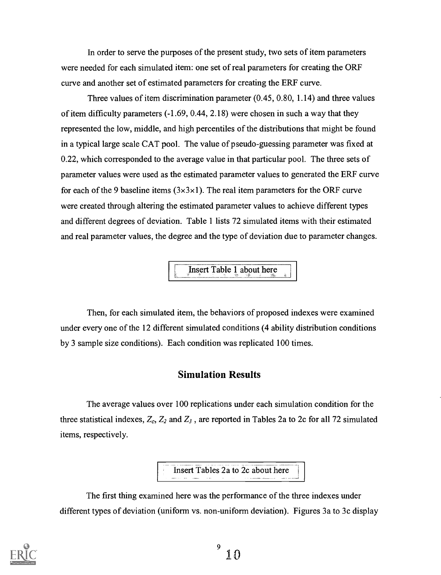In order to serve the purposes of the present study, two sets of item parameters were needed for each simulated item: one set of real parameters for creating the ORF curve and another set of estimated parameters for creating the ERF curve.

Three values of item discrimination parameter (0.45, 0.80, 1.14) and three values of item difficulty parameters (-1.69, 0.44, 2.18) were chosen in such a way that they represented the low, middle, and high percentiles of the distributions that might be found in a typical large scale CAT pool. The value of pseudo-guessing parameter was fixed at 0.22, which corresponded to the average value in that particular pool. The three sets of parameter values were used as the estimated parameter values to generated the ERF curve for each of the 9 baseline items  $(3\times3\times1)$ . The real item parameters for the ORF curve were created through altering the estimated parameter values to achieve different types and different degrees of deviation. Table 1 lists 72 simulated items with their estimated and real parameter values, the degree and the type of deviation due to parameter changes.

Insert Table 1 about here

Then, for each simulated item, the behaviors of proposed indexes were examined under every one of the 12 different simulated conditions (4 ability distribution conditions by 3 sample size conditions). Each condition was replicated 100 times.

### Simulation Results

The average values over 100 replications under each simulation condition for the three statistical indexes,  $Z_c$ ,  $Z_2$  and  $Z_3$ , are reported in Tables 2a to 2c for all 72 simulated items, respectively.

Insert Tables 2a to 2c about here

The first thing examined here was the performance of the three indexes under different types of deviation (uniform vs. non-uniform deviation). Figures 3a to 3c display

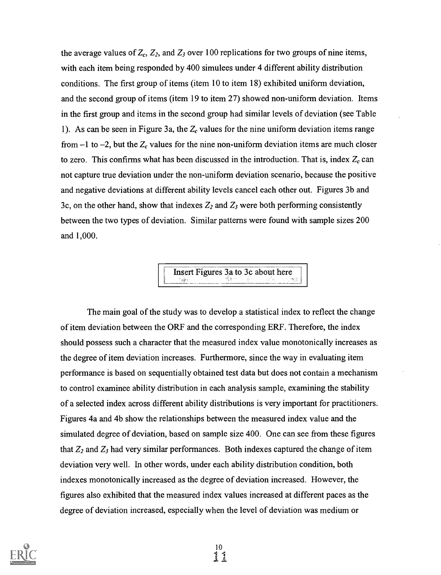the average values of  $Z_c$ ,  $Z_2$ , and  $Z_3$  over 100 replications for two groups of nine items, with each item being responded by 400 simulees under 4 different ability distribution conditions. The first group of items (item 10 to item 18) exhibited uniform deviation, and the second group of items (item 19 to item 27) showed non-uniform deviation. Items in the first group and items in the second group had similar levels of deviation (see Table 1). As can be seen in Figure 3a, the  $Z_c$  values for the nine uniform deviation items range from  $-1$  to  $-2$ , but the  $Z_c$  values for the nine non-uniform deviation items are much closer to zero. This confirms what has been discussed in the introduction. That is, index  $Z_c$  can not capture true deviation under the non-uniform deviation scenario, because the positive and negative deviations at different ability levels cancel each other out. Figures 3b and 3c, on the other hand, show that indexes  $Z_2$  and  $Z_3$  were both performing consistently between the two types of deviation. Similar patterns were found with sample sizes 200 and 1,000.

Insert Figures 3a to 3c about here

The main goal of the study was to develop a statistical index to reflect the change of item deviation between the ORF and the corresponding ERF. Therefore, the index should possess such a character that the measured index value monotonically increases as the degree of item deviation increases. Furthermore, since the way in evaluating item performance is based on sequentially obtained test data but does not contain a mechanism to control examinee ability distribution in each analysis sample, examining the stability of a selected index across different ability distributions is very important for practitioners. Figures 4a and 4b show the relationships between the measured index value and the simulated degree of deviation, based on sample size 400. One can see from these figures that  $Z_2$  and  $Z_3$  had very similar performances. Both indexes captured the change of item deviation very well. In other words, under each ability distribution condition, both indexes monotonically increased as the degree of deviation increased. However, the figures also exhibited that the measured index values increased at different paces as the degree of deviation increased, especially when the level of deviation was medium or

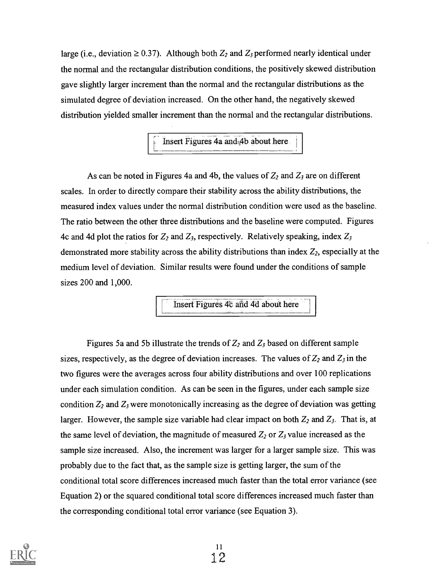large (i.e., deviation  $\geq 0.37$ ). Although both  $Z_2$  and  $Z_3$  performed nearly identical under the normal and the rectangular distribution conditions, the positively skewed distribution gave slightly larger increment than the normal and the rectangular distributions as the simulated degree of deviation increased. On the other hand, the negatively skewed distribution yielded smaller increment than the normal and the rectangular distributions.

Insert Figures 4a and 4b about here

As can be noted in Figures 4a and 4b, the values of  $Z_2$  and  $Z_3$  are on different scales. In order to directly compare their stability across the ability distributions, the measured index values under the normal distribution condition were used as the baseline. The ratio between the other three distributions and the baseline were computed. Figures 4c and 4d plot the ratios for  $Z_2$  and  $Z_3$ , respectively. Relatively speaking, index  $Z_3$ demonstrated more stability across the ability distributions than index  $Z_2$ , especially at the medium level of deviation. Similar results were found under the conditions of sample sizes 200 and 1,000.

Insert Figures 4c and 4d about here

Figures 5a and 5b illustrate the trends of  $Z_2$  and  $Z_3$  based on different sample sizes, respectively, as the degree of deviation increases. The values of  $Z_2$  and  $Z_3$  in the two figures were the averages across four ability distributions and over 100 replications under each simulation condition. As can be seen in the figures, under each sample size condition  $Z_2$  and  $Z_3$  were monotonically increasing as the degree of deviation was getting larger. However, the sample size variable had clear impact on both  $Z_2$  and  $Z_3$ . That is, at the same level of deviation, the magnitude of measured  $Z_2$  or  $Z_3$  value increased as the sample size increased. Also, the increment was larger for a larger sample size. This was probably due to the fact that, as the sample size is getting larger, the sum of the conditional total score differences increased much faster than the total error variance (see Equation 2) or the squared conditional total score differences increased much faster than the corresponding conditional total error variance (see Equation 3).

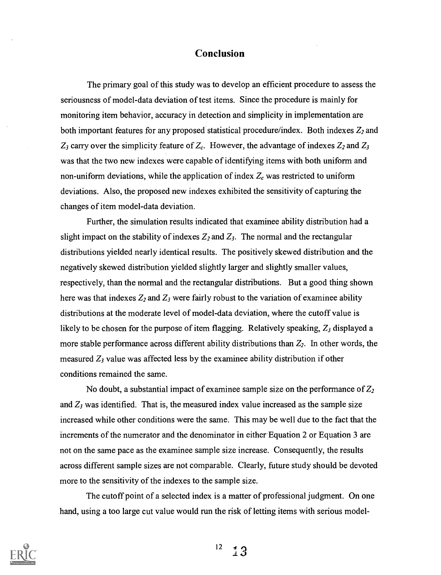#### Conclusion

The primary goal of this study was to develop an efficient procedure to assess the seriousness of model-data deviation of test items. Since the procedure is mainly for monitoring item behavior, accuracy in detection and simplicity in implementation are both important features for any proposed statistical procedure/index. Both indexes  $Z_2$  and  $Z_3$  carry over the simplicity feature of  $Z_c$ . However, the advantage of indexes  $Z_2$  and  $Z_3$ was that the two new indexes were capable of identifying items with both uniform and non-uniform deviations, while the application of index  $Z_c$  was restricted to uniform deviations. Also, the proposed new indexes exhibited the sensitivity of capturing the changes of item model-data deviation.

Further, the simulation results indicated that examinee ability distribution had a slight impact on the stability of indexes  $Z_2$  and  $Z_3$ . The normal and the rectangular distributions yielded nearly identical results. The positively skewed distribution and the negatively skewed distribution yielded slightly larger and slightly smaller values, respectively, than the normal and the rectangular distributions. But a good thing shown here was that indexes  $Z_2$  and  $Z_3$  were fairly robust to the variation of examinee ability distributions at the moderate level of model-data deviation, where the cutoff value is likely to be chosen for the purpose of item flagging. Relatively speaking,  $Z_3$  displayed a more stable performance across different ability distributions than  $Z_2$ . In other words, the measured  $Z_3$  value was affected less by the examinee ability distribution if other conditions remained the same.

No doubt, a substantial impact of examinee sample size on the performance of  $Z_2$ and  $Z_3$  was identified. That is, the measured index value increased as the sample size increased while other conditions were the same. This may be well due to the fact that the increments of the numerator and the denominator in either Equation 2 or Equation 3 are not on the same pace as the examinee sample size increase. Consequently, the results across different sample sizes are not comparable. Clearly, future study should be devoted more to the sensitivity of the indexes to the sample size.

The cutoff point of a selected index is a matter of professional judgment. On one hand, using a too large cut value would run the risk of letting items with serious model-

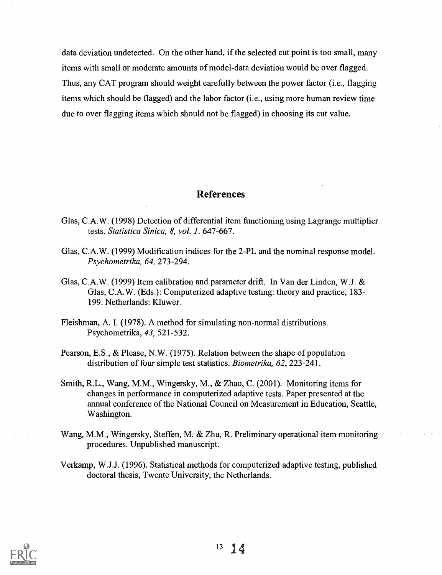data deviation undetected. On the other hand, if the selected cut point is too small, many items with small or moderate amounts of model-data deviation would be over flagged. Thus, any CAT program should weight carefully between the power factor (i.e., flagging items which should be flagged) and the labor factor (i.e., using more human review time due to over flagging items which should not be flagged) in choosing its cut value.

#### References

- Glas, C.A.W. (1998) Detection of differential item functioning using Lagrange multiplier tests. Statistica Sinica, 8, vol. 1. 647-667.
- Glas, C.A.W. (1999) Modification indices for the 2-PL and the nominal response model. Psychometrika, 64, 273-294.
- Glas, C.A.W. (1999) Item calibration and parameter drift. In Van der Linden, W.J. & Glas, C.A.W. (Eds.): Computerized adaptive testing: theory and practice, 183- 199. Netherlands: Kluwer.
- Fleishman, A. I. (1978). A method for simulating non-normal distributions. Psychometrika, 43, 521-532.
- Pearson, E.S., & Please, N.W. (1975). Relation between the shape of population distribution of four simple test statistics. Biometrika, 62, 223-241.
- Smith, R.L., Wang, M.M., Wingersky, M., & Zhao, C. (2001). Monitoring items for changes in performance in computerized adaptive tests. Paper presented at the annual conference of the National Council on Measurement in Education, Seattle, Washington.
- Wang, M.M., Wingersky, Steffen, M. & Zhu, R. Preliminary operational-item monitoring procedures. Unpublished manuscript.
- Verkamp, W.J.J. (1996). Statistical methods for computerized adaptive testing, published doctoral thesis, Twente University, the Netherlands.

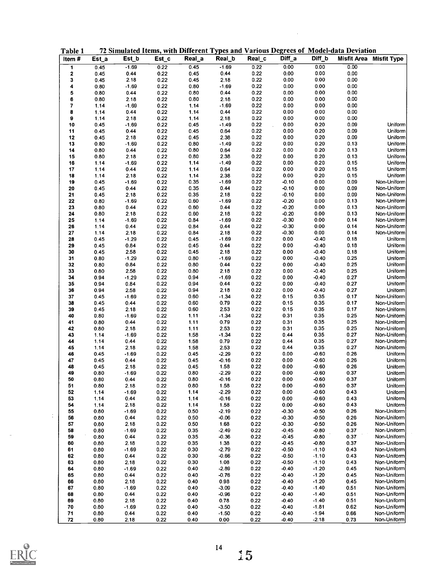| Item#     | Est_a        | Est_b           | Est_c        | Real_a       | Real_b             | Real_c       | Diff_a           | Diff_b             |              | Misfit Area Misfit Type    |
|-----------|--------------|-----------------|--------------|--------------|--------------------|--------------|------------------|--------------------|--------------|----------------------------|
|           |              | $-1.69$         |              | 0.45         | $-1.69$            | 0.22         | 0.00             | 0.00               | 0.00         |                            |
| 1         | 0.45         |                 | 0.22         |              |                    |              |                  |                    |              |                            |
| $\pmb{2}$ | 0.45         | 0.44            | 0.22         | 0.45         | 0.44               | 0.22         | 0.00             | 0.00               | 0.00         |                            |
| 3         | 0.45         | 2.18            | 0.22         | 0.45         | 2.18               | 0.22         | 0.00             | 0.00               | 0.00         |                            |
| 4         | 0.80         | $-1.69$         | 0.22         | 0.80         | $-1.69$            | 0.22         | 0.00             | 0.00               | 0.00         |                            |
| 5         | 0.80         | 0.44            | 0.22         | 0.80         | 0.44               | 0.22         | 0.00             | 0.00               | 0.00         |                            |
| 6         | 0.80         | 2.18            | 0.22         | 0.80         | 2.18               | 0.22         | 0.00             | 0.00               | 0.00         |                            |
| 7         | 1.14         | -1.69           | 0.22         | 1.14         | $-1.69$            | 0.22         | 0.00             | 0.00               | 0.00         |                            |
| 8         | 1.14         | 0.44            | 0.22         | 1.14         | 0.44               | 0.22         | 0.00             | 0.00               | 0.00         |                            |
| 9         | 1.14         | 2.18            | 0.22         | 1.14         | 2.18               | 0.22         | 0.00             | 0.00               | 0.00         |                            |
| 10        | 0.45         | $-1.69$         | 0.22         | 0.45         | $-1.49$            | 0.22         | 0.00             | 0.20               | 0.09         | Uniform                    |
| 11        | 0.45         | 0.44            | 0.22         | 0.45         | 0.64               | 0.22         | 0.00             | 0.20               | 0.09         | Uniform                    |
| 12        | 0.45         | 2.18            | 0.22         | 0.45         | 2.38               | 0.22         | 0.00             | 0.20               | 0.09         | Uniform                    |
| 13        | 0.80         | $-1.69$         | 0.22         | 0.80         | $-1.49$            | 0.22         | 0.00             | 0.20               | 0.13         | Uniform                    |
| 14        | 0.80         | 0.44            | 0.22         | 0.80         | 0.64               | 0.22         | 0.00             | 0.20               | 0.13         | Uniform                    |
| 15        | 0.80         | 2.18            | 0.22         | 0.80         | 2.38               | 0.22         | 0.00             | 0.20               | 0.13         | Uniform                    |
| 16        | 1.14         | $-1.69$         | 0.22         | 1.14         | $-1.49$            | 0.22         | 0.00             | 0.20               | 0.15         | Uniform                    |
|           |              |                 | 0.22         |              |                    | 0.22         | 0.00             | 0.20               | 0.15         | Uniform                    |
| 17        | 1.14         | 0.44            |              | 1.14         | 0.64               |              |                  |                    |              |                            |
| 18        | 1.14         | 2.18            | 0.22         | 1.14         | 2.38               | 0.22         | $0.00\,$         | 0.20               | 0.15         | Uniform                    |
| 19        | 0.45         | $-1.69$         | 0.22         | 0.35         | $-1.69$            | 0.22         | $-0.10$          | 0.00               | 0.09         | Non-Uniform                |
| 20        | 0.45         | 0.44            | 0.22         | 0.35         | 0.44               | 0.22         | $-0.10$          | 0.00               | 0.09         | Non-Uniform                |
| 21        | 0.45         | 2.18            | 0.22         | 0.35         | 2.18               | 0.22         | $-0.10$          | 0.00               | 0.09         | Non-Uniform                |
| 22        | 0.80         | $-1.69$         | 0.22         | 0.60         | $-1.69$            | 0.22         | $-0.20$          | 0.00               | 0.13         | Non-Uniform                |
| 23        | 0.80         | 0.44            | 0.22         | 0.60         | 0.44               | 0.22         | $-0.20$          | 0.00               | 0.13         | Non-Uniform                |
| 24        | 0.80         | 2.18            | 0.22         | 0.60         | 2.18               | 0.22         | $-0.20$          | 0.00               | 0.13         | Non-Uniform                |
| 25        | 1.14         | $-1.69$         | 0.22         | 0.84         | $-1.69$            | 0.22         | $-0.30$          | 0.00               | 0.14         | Non-Uniform                |
| 26        | 1.14         | 0.44            | 0.22         | 0.84         | 0.44               | 0.22         | $-0.30$          | 0.00               | 0.14         | Non-Uniform                |
| 27        | 1.14         | 2.18            | 0.22         | 0.84         | 2.18               | 0.22         | $-0.30$          | 0.00               | 0.14         | Non-Uniform                |
| 28        | 0.45         | $-1.29$         | 0.22         | 0.45         | $-1.69$            | 0.22         | 0.00             | $-0.40$            | 0.18         | Uniform                    |
| 29        | 0.45         | 0.84            | 0.22         | 0.45         | 0.44               | 0.22         | 0.00             | $-0.40$            | 0.18         | Uniform                    |
| 30        | 0.45         | 2.58            | 0.22         | 0.45         | 2.18               | 0.22         | 0.00             | $-0.40$            | 0.18         | Uniform                    |
| 31        | 0.80         | $-1.29$         | 0.22         | 0.80         | $-1.69$            | 0.22         | 0.00             | $-0.40$            | 0.25         | Uniform                    |
| 32        | 0.80         | 0.84            | 0.22         | 0.80         | 0.44               | 0.22         | 0.00             | $-0.40$            | 0.25         | Uniform                    |
| 33        | 0.80         | 2.58            | 0.22         | 0.80         | 2.18               | 0.22         | 0.00             | $-0.40$            | 0.25         | Uniform                    |
| 34        | 0.94         | $-1.29$         | 0.22         | 0.94         | $-1.69$            | 0.22         | 0.00             | $-0.40$            | 0.27         | Uniform                    |
| 35        |              | 0.84            | 0.22         | 0.94         | 0.44               | 0.22         | 0.00             | $-0.40$            | 0.27         | Uniform                    |
|           | 0.94         |                 |              |              |                    |              | 0.00             | $-0.40$            |              |                            |
| 36        | 0.94         | 2.58            | 0.22         | 0.94         | 2.18               | 0.22         |                  |                    | 0.27         | Uniform                    |
| 37        | 0.45         | $-1.69$         | 0.22         | 0.60         | $-1.34$            | 0.22         | 0.15             | 0.35               | 0.17         | Non-Uniform                |
| 38        | 0.45         | 0.44            | 0.22         | 0.60         | 0.79               | 0.22         | 0.15             | 0.35               | 0.17         | Non-Uniform                |
| 39        | 0.45         | 2.18            | 0.22         | 0.60         | 2.53               | 0.22         | 0.15             | 0.35               | 0.17         | Non-Uniform                |
| 40        | 0.80         | $-1.69$         | 0.22         | 1.11         | $-1.34$            | 0.22         | 0.31             | 0.35               | 0.25         | Non-Uniform                |
| 41        | 0.80         | 0.44            | 0.22         | 1.11         | 0.79               | 0.22         | 0.31             | 0.35               | 0.25         | Non-Uniform                |
| 42        | 0.80         | 2.18            | 0.22         | 1.11         | 2.53               | 0.22         | 0.31             | 0.35               | 0.25         | Non-Uniform                |
| 43        | 1.14         | $-1.69$         | 0.22         | 1.58         | $-1.34$            | 0.22         | 0.44             | 0.35               | 0.27         | Non-Uniform                |
| 44        | 1.14         | 0.44            | 0.22         | 1.58         | 0.79               | 0.22         | 0.44             | 0.35               | 0.27         | Non-Uniform                |
| 45        | 1.14         | 2.18            | 0.22         | 1.58         | 2.53               | 0.22         | 0.44             | 0.35               | 0.27         | Non-Uniform                |
| 46        | 0.45         | $-1.69$         | 0.22         | 0.45         | $-2.29$            | 0.22         | 0.00             | $-0.60$            | 0.26         | Uniform                    |
| 47        | 0.45         | 0.44            | 0.22         | 0.45         | $-0.16$            | 0.22         | 0.00             | $-0.60$            | 0.26         | Uniform                    |
| 48        | 0.45         | 2.18            | 0.22         | 0.45         | 1.58               | 0.22         | 0.00             | $-0.60$            | 0.26         | Uniform                    |
| 49        | 0.80         | $-1.69$         | 0.22         | 0.80         | $-2.29$            | 0.22         | 0.00             | $-0.60$            | 0.37         | Uniform                    |
| 50        | 0.80         | 0.44            | 0.22         | 0.80         | -0.16              | 0.22         | 0.00             | -0.60              | 0.37         | Unitorm                    |
| 51        | 0.80         | 2.18            | 0.22         | 0.80         | 1.58               | 0.22         | 0.00             | $-0.60$            | 0.37         | Uniform                    |
| 52        | 1.14         | $-1.69$         | 0.22         | 1.14         | $-2.29$            | 0.22         | 0.00             | $-0.60$            | 0.43         | Uniform                    |
| 53        | 1.14         | 0.44            | 0.22         | 1.14         | $-0.16$            | 0.22         | 0.00             | $-0.60$            | 0.43         | Uniform                    |
| 54        | 1.14         | 2.18            | 0.22         | 1.14         | 1.58               | 0.22         | 0.00             | $-0.60$            | 0.43         | Uniform                    |
|           |              |                 |              |              |                    |              |                  |                    |              | Non-Uniform                |
| 55        | 0.80         | $-1.69$         | 0.22         | 0.50         | $-2.19$            | 0.22         | $-0.30$          | $-0.50$            | 0.26         |                            |
| 56        | 0.80         | 0.44            | 0.22         | 0.50         | $-0.06$            | 0.22         | $-0.30$          | $-0.50$            | 0.26         | Non-Uniform                |
| 57        | 0.80         | 2.18            | 0.22         | 0.50         | 1.68               | 0.22         | $-0.30$          | $-0.50$            | 0.26         | Non-Uniform                |
| 58        | 0.80         | $-1.69$         | 0.22         | 0.35         | $-2.49$            | 0.22         | $-0.45$          | $-0.80$            | 0.37         | Non-Uniform                |
| 59        | 0.80         | 0.44            | 0.22         | 0.35         | $-0.36$            | 0.22         | $-0.45$          | $-0.80$            | 0.37         | Non-Uniform                |
| 60        | 0.80         | 2.18            | 0.22         | 0.35         | 1.38               | 0.22         | $-0.45$          | $-0.80$            | 0.37         | Non-Uniform                |
| 61        | 0.80         | $-1.69$         | 0.22         | 0.30         | $-2.79$            | 0.22         | $-0.50$          | $-1.10$            | 0.43         | Non-Uniform                |
| 62        | 0.80         | 0.44            | 0.22         | 0.30         | $-0.66$            | 0.22         | $-0.50$          | $-1.10$            | 0.43         | Non-Uniform                |
| 63        | 0.80         | 2.18            | 0.22         | 0.30         | 1.08               | 0.22         | $-0.50$          | $-1.10$            | 0.43         | Non-Uniform                |
| 64        | 0.80         | $-1.69$         | 0.22         | 0.40         | $-2.89$            | 0.22         | -0.40            | $-1.20$            | 0.45         | Non-Uniform                |
| 65        | 0.80         | 0.44            | 0.22         | 0.40         | $-0.76$            | 0.22         | $-0.40$          | $-1.20$            | 0.45         | Non-Uniform                |
|           | 0.80         | 2.18            | 0.22         | 0.40         | 0.98               | 0.22         | -0.40            | $-1.20$            | 0.45         | Non-Uniform                |
|           | 0.80         | $-1.69$         | 0.22         | 0.40         | $-3.09$            | 0.22         | -0.40            | $-1.40$            | 0.51         | Non-Uniform                |
| 66        |              |                 |              |              |                    | 0.22         | $-0.40$          | $-1.40$            | 0.51         | Non-Uniform                |
| 67        |              |                 |              |              |                    |              |                  |                    |              |                            |
| 68        | 0.80         | 0.44            | 0.22         | 0.40         | $-0.96$            |              |                  |                    |              |                            |
| 69        | 0.80         | 2.18            | 0.22         | 0.40         | 0.78               | 0.22         | -0.40            | $-1.40$            | 0.51         | Non-Uniform                |
| 70<br>71  | 0.80<br>0.80 | $-1.69$<br>0.44 | 0.22<br>0.22 | 0.40<br>0.40 | $-3.50$<br>$-1.50$ | 0.22<br>0.22 | $-0.40$<br>-0.40 | $-1.81$<br>$-1.94$ | 0.62<br>0.66 | Non-Uniform<br>Non-Uniform |

 $\sim$ 

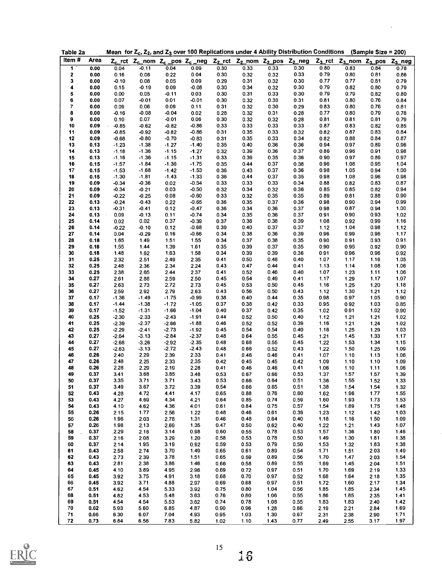| Table 2a                |              |              |              |              | Mean for $Z_c$ , $Z_2$ , and $Z_3$ over 100 Replications under 4 Ability Distribution Conditions                                                                |              |              |              |              |              |                                             | (Sample Size = 200) |              |
|-------------------------|--------------|--------------|--------------|--------------|-----------------------------------------------------------------------------------------------------------------------------------------------------------------|--------------|--------------|--------------|--------------|--------------|---------------------------------------------|---------------------|--------------|
| Item#                   | Area         |              |              |              | Z <sub>c</sub> _rct Z <sub>c</sub> _nom Z <sub>c</sub> _pos Z <sub>c</sub> _neg Z <sub>2</sub> _rct Z <sub>2</sub> _nom Z <sub>2</sub> _pos Z <sub>2</sub> _neg |              |              |              |              |              | $Z_3$ _rct $Z_3$ _nom $Z_3$ _pos $Z_3$ _neg |                     |              |
| $\overline{\mathbf{1}}$ | 0.00         | 0.04         | $-0.11$      | 0.04         | 0.09                                                                                                                                                            | 0.30         | 0.33         | 0.33         | 0.30         | 0.80         | 0.83                                        | 0.84                | 0.78         |
| 2                       | 0.00         | 0.16         | 0.06         | 0.22         | 0.04                                                                                                                                                            | 0.30         | 0.32         | 0.32         | 0.33         | 0.79         | 0.80                                        | 0.81                | 0.86         |
| 3                       | 0.00         | $-0.10$      | 0.08         | 0.05         | 0.09                                                                                                                                                            | 0.29         | 0.31         | 0.32         | 0.30         | 0.77         | 0.77                                        | 0.81                | 0.79         |
| 4                       | 0.00         | 0.15         | $-0.19$      | 0.09         | $-0.08$                                                                                                                                                         | 0.30         | 0.34         | 0.32         | 0.30         | 0.79         | 0.82                                        | 0.80                | 0.79         |
| 5                       | 0.00         | 0.00         | 0.05         | $-0.11$      | 0.03                                                                                                                                                            | 0.30         | 0.31         | 0.33         | 0.30         | 0.79         | 0.79                                        | 0.82                | 0.80         |
| 6                       | 0.00         | 0.07         | $-0.01$      | 0.01         | $-0.01$                                                                                                                                                         | 0.30         | 0.32         | 0.30         | 0.31         | 0.81         | 0.80                                        | 0.76                | 0.84         |
| $\overline{7}$          | 0.00         | 0.09         | 0.06         | 0.09         | 0.11                                                                                                                                                            | 0.31         | 0.32         | 0.30         | 0.29         | 0.83         | 0.80                                        | 0.76                | 0.81         |
| 8                       | 0.00         | $-0.16$      | $-0.08$      | $-0.04$      | 0.02                                                                                                                                                            | 0.28         | 0.32         | 0.31         | 0.28         | 0.77         | 0.80                                        | 0.79                | 0.78         |
| 9                       | 0.00         | 0.10         | 0.07         | $-0.01$      | 0.06                                                                                                                                                            | 0.30         | 0.32         | 0.32         | 0.28         | 0.81         | 0.81                                        | 0.81                | 0.79         |
| 10                      | 0.09         | $-0.85$      | $-0.62$      | $-0.82$      | $-0.86$                                                                                                                                                         | 0.33         | 0.33         | 0.33         | $0.33 -$     | 0.87         | 0.83                                        | 0.82                | 0.85         |
| 11                      | 0.09         | $-0.85$      | $-0.92$      | $-0.82$      | $-0.86$                                                                                                                                                         | 0.31         | 0.35         | 0.33         | 0.32         | 0.82         | 0.87                                        | 0.83                | 0.84         |
| 12                      | 0.09         | $-0.68$      | $-0.80$      | $-0.70$      | $-0.83$                                                                                                                                                         | 0.31         | 0.35         | 0.33         | 0.34         | 0.82         | 0.88                                        | 0.84                | 0.87         |
| 13                      | 0.13         | $-1.23$      | $-1.38$      | $-1.27$      | $-1.40$                                                                                                                                                         | 0.35         | 0.40         | 0.36         | 0.36         | 0.94         | 0.97                                        | 0.89                | 0.96         |
| 14                      | 0.13         | $-1.18$      | $-1.36$      | $-1.15$      | $-1.27$                                                                                                                                                         | 0.32         | 0.39         | 0.36         | 0.37         | 0.86         | 0.96                                        | 0.91                | 0.98         |
| 15                      | 0.13         | $-1.16$      | $-1.36$      | $-1.15$      | $-1.31$                                                                                                                                                         | 0.33         | 0.39         | 0.35         | 0.36         | 0.90         | 0.97                                        | 0.89                | 0.97         |
| 16                      | 0.15         | $-1.57$      | $-1.84$      | $-1.36$      | $-1.75$                                                                                                                                                         | 0.35         | 0.44         | 0.37         | 0.38         | 0.96         | 1.08                                        | 0.95                | 1.04         |
| 17                      | 0.15         | $-1.53$      | $-1.68$      | $-1.42$      | $-1.53$                                                                                                                                                         | 0.36         | 0.43         | 0.37         | 0.36         | 0.98         | 1.05                                        | 0.94                | 1.00         |
| 18                      | 0.15         | $-1.30$      | $-1.81$      | $-1.43$      | $-1.33$                                                                                                                                                         | 0.36         | 0.44         | 0.37         | 0.35         | 0.98         | 1.08                                        | 0.96                | 0.98         |
| 19                      | 0.09         | $-0.34$      | $-0.36$      | 0.02         | $-0.54$                                                                                                                                                         | 0.33         | 0.33         | 0.33         | 0.34         | 0.88         | 0.82                                        | 0.83                | 0.87         |
| 20                      | 0.09         | $-0.34$      | $-0.21$      | 0.03         | $-0.50$                                                                                                                                                         | 0.32         | 0.34         | 0.32         | 0.36         | 0.85         | 0.85                                        | 0.82                | 0.94         |
| 21                      | 0.09         | $-0.22$      | $-0.25$      | 0.08         | $-0.60$                                                                                                                                                         | 0.33         | 0.32         | 0.35         | 0.35         | 0.89         | 0.81                                        | 0.88                | 0.90         |
| 22                      | 0.13         | $-0.24$      | $-0.43$      | 0.22         | $-0.65$                                                                                                                                                         | 0.36         | 0.35         | 0.37         | 0.36         | 0.98         | 0.90                                        | 0.94                | 0.99         |
| 23                      | 0.13         | $-0.31$      | $-0.41$      | 0.12         | $-0.47$                                                                                                                                                         | 0.36         | 0.34         | 0.36         | 0.37         | 0.98         | 0.87                                        | 0.94                | 1.00         |
| 24                      | 0.13         | 0.09         | $-0.13$      | 0.11         | $-0.74$                                                                                                                                                         | 0.34         | 0.35         | 0.36         | 0.37         | 0.91         | 0.90                                        | 0.93                | 1.02         |
| 25                      | 0.14         | 0.02         | 0.02         | 0.37         | $-0.39$                                                                                                                                                         | 0.37         | 0.36         | 0.38         | 0.39         | 1.08         | 0.92                                        | 0.99                | 1.16         |
| 26                      | 0.14         | $-0.22$      | $-0.10$      | 0.12         | $-0.68$                                                                                                                                                         | 0.39         | 0.40         | 0.37         | 0.37         | 1.12         | 1.04                                        | 0.98                | 1.12         |
| 27                      | 0.14         | 0.04         | $-0.29$      | 0.16         | $-0.66$                                                                                                                                                         | 0.34         | 0.38         | 0.36         | 0.39         | 0.96         | 0.99                                        | 0.96                | 1.17         |
| 28                      | 0.18         | 1.65         | 149          | 1.51         | 1.55                                                                                                                                                            | 0.34         | 0.37         | 0.38         | 0.35         | 0.90         | 0.91                                        | 0.93                | 0.91         |
| 29                      | 0.18         | 1.55         | 144          | 1.39         | 1.61                                                                                                                                                            | 0.35         | 0.39         | 0.37         | 0.35         | 0.90         | 0.95                                        | 0.92                | 0.90         |
| 30                      | 0.18         | 1.48         | 1.62         | 1.63         | 1.58                                                                                                                                                            | 0.34         | 0.39         | 0.39         | 0.36         | 0.91         | 0.96                                        | 0.96                | 0.92         |
| 31                      | 0.25         | 2.32         | 2.51         | 2.49         | 2.35                                                                                                                                                            | 0.41         | 0.50         | 0.48         | 0.40         | 1.07         | 1.17                                        | 1.16                | 1.05         |
| 32                      | 0.25         | 2.48         | 2.36         | 2.34         | 2.24                                                                                                                                                            | 0.43         | 0.47         | 0.44         | 0.41         | 1.13         | 1.14                                        | 1.08                | 1.06         |
| 33                      | 0.25         | 2.38         | 265          | 2.44         | 2.37                                                                                                                                                            | 0.41         | 0.52         | 0.46         | 0.40         | 1.07         | 1.23                                        | 1.11                | 1.06         |
| 34                      | 0.27         | 2.61         | 2.88         | 2.59         | 2.50                                                                                                                                                            | 0.45         | 0.54         | 0.49         | 0.41         | 1.17         | 1.29                                        | 1.17                | 1.07         |
| 35                      | 0.27         | 2.63         | 2.73         | 2.72         | 2.73                                                                                                                                                            | 0.45         | 0.53         | 0.50         | 0.45         | 1.16         | 1.25                                        | 1.20                | 1.18         |
| 36                      | 0.27         | 2.59         | 2.92         | 2.79         | 2.63                                                                                                                                                            | 0.43         | 0.56         | 0.50         | 0.43         | 1.12         | 1.30                                        | 1.21                | 1.12         |
| 37                      | 0.17         | $-1.36$      | $-1.49$      | $-1.75$      | $-0.99$                                                                                                                                                         | 0.38         | 0.40         | 0.44         | 0.35         | 0.98         | 0.97                                        | 1.05                | 0.90         |
| 38                      | 0.17         | $-1.44$      | $-1.38$      | $-1.72$      | $-1.05$                                                                                                                                                         | 0.37         | 0.38         | 0.42         | 0.33         | 0.95         | 0.92                                        | 1.03                | 0.85         |
| 39                      | 0.17         | $-1.52$      | $-1.31$      | $-1.66$      | $-1.04$                                                                                                                                                         | 0.40         | 0.37         | 0.42         | 0.35         | 1.02         | 0.91                                        | 1.02                | 0.90         |
| 40                      | 0.25         | $-2.30$      | $-2.33$      | $-2.43$      | $-1.91$                                                                                                                                                         | 0.44         | 0.52         | 0.50         | 0.40         | 1.12         | 1.21                                        | 1.21                | 1.02         |
| 41                      | 0.25         | $-2.39$      | $-2.37$      | $-2.66$      | $-1.88$                                                                                                                                                         | 0.46         | 0.52         | 0.52         | 0.39         | 1.16         | 1.21                                        | 1.24                | 1.02         |
| 42                      | 0.25         | $-2.29$      | $-2.41$      | $-2.73$      | $-1.92$                                                                                                                                                         | 0.45         | 0.54         | 0.54         | 0.40         | 1.16         | 1.25                                        | 1.29                | 1.03         |
| 43                      | 0.27         | $-2.64$      | $-3.13$      | $-2.84$      | $-2.37$                                                                                                                                                         | 0.48         | 0.64         | 0.55         | 0.45         | 1.21         | 1.45                                        | 1.33                | 1.17         |
| 44                      | 0.27         | $-2.68$      | $-3.26$      | $-2.92$      | $-2.35$                                                                                                                                                         | 0.48         | 0.68         | 0.55         | 0.45         | 1.22         | 1.53                                        | 1.34                | 1.15         |
| 45                      | 0.27         | $-2.63$      | $-3.13$      | $-2.72$      | $-2.43$                                                                                                                                                         | 0.48         | 0.66         | 0.52         | 0.43         | 1.22         | 1.50                                        | 1.25                | 1.09         |
| 46                      | 0.26<br>0.26 | 2.40<br>2.48 | 2.29         | 2.39<br>2.33 | 2.33<br>2.35                                                                                                                                                    | 0.41         | 0.46         | 0.46         | 0.41         | 1.07         | 1.10                                        | 1.13                | 1.06         |
| 47<br>48                | 0.26         | 2.28         | 2.25<br>2.29 | 2.19         | 2.28                                                                                                                                                            | 0.42<br>0.41 | 0.45<br>0.46 | 0.45<br>0.46 | 0.42<br>0.41 | 1.09<br>1.06 | 1.10<br>1.10                                | 1.10<br>1.11        | 1.09<br>1.06 |
| 49                      | 0.37         | 3.41         | 3.68         | 3.85         | 3.48                                                                                                                                                            | 0.53         | 0.67         | 0.66         | 0.53         | 1.37         | 1.57                                        | 1.57                | 1.39         |
| 50                      | 0.37         | 3.35         | 3.71         | 3.71         | 3.43                                                                                                                                                            | 0.53         | 0.66         | 0.64         | 0.51         | 1.36         | 1.55                                        | 1.52                | 1.33         |
| 51                      | 0.37         | 3.49         | 3.67         | 3.72         | 3.39                                                                                                                                                            | 0.54         | 0.66         | 0.65         | 0.51         | 1.38         | 1.54                                        | 1.54                | 1.32         |
| 52                      | 0.43         | 4.28         | 4.72         | 4.41         | 4.17                                                                                                                                                            | 0.65         | 0.88         | 0.76         | 0.60         | 1.62         | 1.96                                        | 1.77                | 1.55         |
| 53                      | 0.43         | 4.27         | 4.69         | 4.34         | 4.21                                                                                                                                                            | 0.64         | 0.85         | 0.74         | 0.59         | 1.60         | 1.93                                        | 1.73                | 1.53         |
| 54                      | 0.43         | 4.10         | 4.62         | 4.36         | 4.01                                                                                                                                                            | 0.61         | 0.84         | 0.75         | 0.57         | 1.54         | 1.89                                        | 1.75                | 1.48         |
| 55                      | 0.26         | 2.15         | 1.77         | 2.56         | 1.22                                                                                                                                                            | 0.48         | 0.46         | 0.61         | 0.39         | 1.23         | 1.12                                        | 1.42                | 1.03         |
| 56                      | 0.26         | 196          | 2.03         | 2.78         | 1.31                                                                                                                                                            | 0.46         | 0.48         | 0.64         | 0.40         | 1.18         | 1.16                                        | 1.50                | 1.09         |
| 57                      | 0.26         | 1.98         | 2.13         | 2.69         | 1.35                                                                                                                                                            | 0.47         | 0.50         | 0.62         | 0.40         | 1.22         | 1.21                                        | 1.43                | 1.07         |
| 58                      | 0.37         | 2.29         | 2.16         | 3.14         | 0.98                                                                                                                                                            | 0.60         | .0.55        | 0.78         | 0.53         | 1.57         | 1.36                                        | 1.80                | 1.46         |
| 59                      | 0.37         | 2.16         | 2.08         | 3.29         | 1.20                                                                                                                                                            | 0.58         | 0.53         | 0.78         | 0.50         | 1.49         | 1.30                                        | 1.81                | 1.38         |
| 60                      | 0.37         | 2.14         | 1.95         | 3.19         | 0.92                                                                                                                                                            | 0.59         | 0.53         | 0.79         | 0.50         | 1.53         | 1.32                                        | 1.83                | 1.38         |
| 61                      | 0.43         | 2.58         | 2.74         | 3.70         | 1.49                                                                                                                                                            | 0.65         | 0.61         | 0.89         | 0.54         | 1.71         | 1.51                                        | 2.03                | 1.49         |
| 62                      | 0.43         | 2.73         | 2.39         | 3.78         | 1.51                                                                                                                                                            | 0.65         | 0.59         | 0.89         | 0.56         | 1.70         | 1.47                                        | 2.03                | 1.54         |
| 63                      | 0.43         | 2.81         | 2.38         | 3.86         | 1.46                                                                                                                                                            | 0.66         | 0.58         | 0.89         | 0.55         | 1.69         | 1.45                                        | 2.04                | 1.51         |
| 64                      | 0.45         | 4.10         | 3.89         | 495          | 2.96                                                                                                                                                            | 0.69         | 0.72         | 0.97         | 0.51         | 1.70         | 1.69                                        | 2.19                | 1.33         |
| 65                      | 0.45         | 3.92         | 3.75         | 491          | 3.18                                                                                                                                                            | 0.68         | 0.70         | 0.97         | 0.52         | 1.68         | 1.64                                        | 2.18                | 1.35         |
| 66                      | 0.45         | 3.92         | 3.71         | 4.88         | 2.97                                                                                                                                                            | 0.69         | 0.68         | 0.97         | 0.51         | 1.72         | 1.60                                        | 2.17                | 1.34         |
| 67                      | 0.51         | 4.62         | 4.54         | 5.33         | 3.92                                                                                                                                                            | 0.75         | 0.80         | 1.04         | 0.56         | 185          | 1.85                                        | 2.34                | 1.45         |
| 68                      | 0.51         | 4.82         | 4.53         | 5.48         | 363                                                                                                                                                             | 0.76         | 0.80         | 1.06         | 0.55         | 186          | 1.85                                        | 2.35                | 1.41         |
| 69                      | 0.51         | 4.54         | 4.54         | 5.53         | 3.62                                                                                                                                                            | 0.74         | 0.78         | 1.08         | 0.55         | 183          | 1.83                                        | 2.40                | 1.42         |
| 70                      | 0.62         | 5.93         | 5.60         | 6.85         | 4.87                                                                                                                                                            | 0.90         | 0.96         | 1.28         | 0.66         | 2.19         | 2.21                                        | 2.84                | 1.69         |
| 71                      | 0.66         | 6.30         | 6.07         | 7.04         | 4.93                                                                                                                                                            | 0.95         | 1.03         | 1.30         | 0.67         | 231          | 2.38                                        | 2.90                | 1.71         |
| 72                      | 0.73         | 6.84         | 6.56         | 7.83         | 5.82                                                                                                                                                            | 1.02         | 1.10         | 1.43         | 0.77         | 2.49         | 2.55                                        | 3.17                | 1.97         |

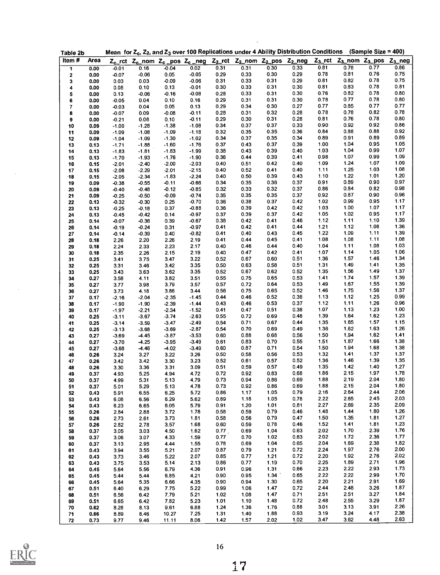| Table 2b   |      |         |         |         |         |              | Mean for $Z_c$ , $Z_2$ , and $Z_3$ over 100 Replications under 4 Ability Distribution Conditions (Sample Size = 400) |              |              |              |                                                                                 |              |              |
|------------|------|---------|---------|---------|---------|--------------|----------------------------------------------------------------------------------------------------------------------|--------------|--------------|--------------|---------------------------------------------------------------------------------|--------------|--------------|
| Item#      | Area |         |         |         |         |              | $Z_{c}$ _rct $Z_{c}$ _nom $Z_{c}$ _pos $Z_{c}$ _neg $Z_{2}$ _rct $Z_{2}$ _nom $Z_{2}$ _pos $Z_{2}$ _neg              |              |              |              | Z <sub>3</sub> _rct Z <sub>3</sub> _nom Z <sub>3</sub> _pos Z <sub>3</sub> _neg |              |              |
| 1          | 0.00 | $-0.01$ | 0.16    | $-0.04$ | 0.02    | 0.31         | 0.31                                                                                                                 | 0.30         | 0.33         | 0.81         | 0.78                                                                            | 0.77         | 0.86         |
| 2          | 0.00 | $-0.07$ | $-0.06$ | 0.05    | $-0.05$ | 0.29         | 0.33                                                                                                                 | 0.30         | 0.29         | 0.78         | 0.81                                                                            | 0.76         | 0.75         |
| 3          | 0.00 | 0.03    | 0.03    | $-0.09$ | $-0.06$ | 0.31         | 0.33                                                                                                                 | 0.31         | 0.29         | 0.81         | 0.82                                                                            | 0.78         | 0.75         |
| 4          | 0.00 | 0.08    | 0.10    | 0.13    | $-0.01$ | 0.30         | 0.33                                                                                                                 | 0.31         | 0.30         | 0.81         | 0.83                                                                            | 0.78         | 0.81         |
| 5          | 0.00 | 0.13    | $-0.06$ | $-0.16$ | $-0.08$ | 0.28         | 0.33                                                                                                                 | 0.31         | 0.30         | 0.76         | 0.82                                                                            | 0.78         | 0.80         |
| 6          | 0.00 | $-0.05$ | 0.04    | 0.10    | 0.16    | 0.29         | 0.31                                                                                                                 | 0.31         | 0.30         | 0.78         | 0.77                                                                            | 0.78         | 0.80         |
| 7          | 0.00 | $-0.03$ | 0.04    | 0.05    | 0.13    | 0.29         | 0.34                                                                                                                 | 0.30         | 0.27         | 0.77         | 0.85                                                                            | 0.77         | 0.77         |
|            | 0.00 | $-0.07$ | 0.09    | $-0.08$ | $-0.11$ | 0.28         | 0.31                                                                                                                 | 0.32         | 0.28         | 0.78         | 0.78                                                                            | 0.82         | 0.78         |
| 8          |      |         |         |         | $-0.11$ | 0.29         | 0.30                                                                                                                 | 0.31         | 0.28         | 0.81         | 0.76                                                                            | 0.78         | 0.80         |
| 9          | 0.00 | $-0.21$ | 0.08    | 0.10    |         |              |                                                                                                                      |              | 0.33         | 0.90         | $-0.92$                                                                         | 0.92         | 0.86         |
| 10         | 0.09 | $-1.00$ | $-1.28$ | $-1.38$ | $-1.08$ | 0.34         | 0.37                                                                                                                 | 0.37         |              |              | 0.88                                                                            | 0.88         | 0.92         |
| 11         | 0.09 | $-1.09$ | $-1.08$ | $-1.09$ | $-1.18$ | 0.32         | 0.35                                                                                                                 | 0.35         | 0.36         | 0.84         |                                                                                 |              | 0.89         |
| 12         | 0.09 | $-1.04$ | $-1.09$ | $-1.30$ | $-1.02$ | 0.34         | 0.37                                                                                                                 | 0.35         | 0.34         | 0.89         | 0.91                                                                            | 0.89         |              |
| 13         | 0.13 | $-1.71$ | $-1.88$ | $-1.60$ | $-1.76$ | 0.37         | 0.43                                                                                                                 | 0.37         | 0.39         | 1.00         | 1.04                                                                            | 0.95         | 1.05         |
| 14         | 0.13 | $-1.83$ | $-1.81$ | $-1.83$ | $-1.99$ | 0.38         | 0.43                                                                                                                 | 0.39         | 0.40         | 1.03         | 1.04                                                                            | 0.99         | 1.07         |
| 15         | 0.13 | $-1.70$ | $-1.93$ | $-1.76$ | $-1.90$ | 0.36         | 0.44                                                                                                                 | 0.39         | 0.41         | 0.98         | 1.07                                                                            | 0.99         | 1.09         |
| 16         | 0.15 | $-2.01$ | $-2.40$ | $-2.00$ | $-2.03$ | 0.40         | 0.51                                                                                                                 | 0.42         | 0.40         | 1.09         | 1.24                                                                            | 1.07         | 1.09         |
| 17         | 0.15 | $-2.08$ | $-2.29$ | $-2.01$ | $-2.15$ | 0.40         | 0.52                                                                                                                 | 0.41         | 0.40         | 1.11         | 1.25                                                                            | 1.03         | 1.08         |
| $\cdot$ 18 | 0.15 | $-2.05$ | $-2.34$ | $-1.83$ | $-2.24$ | 0.40         | 0.50                                                                                                                 | 0.39         | 0.43         | 1.10         | 1.22                                                                            | 1.01         | 1.20         |
| 19         | 0.09 | $-0.38$ | $-0.55$ | $-0.11$ | $-0.66$ | 0.34         | 0.35                                                                                                                 | 0.36         | 0.37         | 0.91         | 0.89                                                                            | 0.90         | 0.97         |
| 20         | 0.09 | $-0.40$ | $-0.48$ | $-0.12$ | $-0.85$ | 0.32         | 0.33                                                                                                                 | 0.32         | 0.37         | 0.86         | 0.84                                                                            | 0.82         | 0.98         |
| 21         | 0.09 | $-0.25$ | $-0.50$ | $-0.09$ | $-0.74$ | 0.35         | 0.35                                                                                                                 | 0.35         | 0.37         | 0.92         | 0.87                                                                            | 0.90         | 0.96         |
| 22         | 0.13 | $-0.32$ | $-0.30$ | 0.25    | $-0.70$ | 0.36         | 0.38                                                                                                                 | 0.37         | 0.42         | 1.02         | 0.99                                                                            | 0.95         | 1.17         |
| 23         | 0.13 | $-0.25$ | $-0.18$ | 0.37    | $-0.88$ | 0.36         | 0.39                                                                                                                 | 0.42         | 0.42         | 1.03         | 1.00                                                                            | 1.07         | 1.17         |
| 24         | 0.13 | $-0.45$ | $-0.42$ | 0.14    | $-0.97$ | 0.37         | 0.39                                                                                                                 | 0.37         | 0.42         | 1.05         | 1.02                                                                            | 0.95         | 1.17         |
| 25         | 0.14 | $-0.07$ | $-0.36$ | 0.39    | $-0.67$ | 0.38         | 0.42                                                                                                                 | 0.41         | 0.46         | 1.12         | 1.11                                                                            | 1.10         | 1.39         |
| 26         | 0.14 | $-0.19$ | $-0.24$ | 0.31    | $-0.97$ | 0.41         | 0.42                                                                                                                 | 0.41         | 0.44         | 1.21         | 1.12                                                                            | 1.08         | 1.36         |
| 27         | 0.14 | $-0.14$ | $-0.39$ | 0.40    | $-0.82$ | 0.41         | 0.40                                                                                                                 | 0.43         | 0.45         | 1.22         | 1.09                                                                            | 1.11         | 1.39         |
|            |      |         |         |         | 2.19    | 0.41         | 0.44                                                                                                                 | 0.45         | 0.41         | 1.08         | 1.08                                                                            | 1.11         | 1.08         |
| 28         | 0.18 | 2.26    | 2.20    | 2.26    |         |              | 0.46                                                                                                                 | 0.44         | 0.40         | 1.04         | 1.11                                                                            | 1.08         | 1.03         |
| 29         | 0.18 | 2.24    | 2.33    | 2.23    | 2.17    | 0.40         |                                                                                                                      |              |              |              |                                                                                 |              | 1.06         |
| 30         | 0.18 | 2.35    | 2.26    | 2.15    | 2.19    | 0.40         | 0.47                                                                                                                 | 0.42         | 0.41         | 1.07         | 1.14                                                                            | 1.05         |              |
| 31         | 0.25 | 3.41    | 3.75    | 3.47    | 3.22    | 0.52         | 0.67                                                                                                                 | 0.60         | 0.51         | 1.36         | 1.57                                                                            | 1.46         | 1.34         |
| 32         | 0.25 | 3.31    | 3.46    | 3.42    | 3.35    | 0.50         | 0.63                                                                                                                 | 0.58         | 0.51         | 1.31         | 1.49                                                                            | 1.41         | 1.35         |
| 33         | 0.25 | 3.43    | 3.63    | 3.62    | 3.35    | 0.52         | 0.67                                                                                                                 | 0.62         | 0.52         | 1.35         | 1.56                                                                            | 1.49         | 1.37         |
| 34         | 0.27 | 3.58    | 4.11    | 3.82    | 3.51    | 0.55         | 0.75                                                                                                                 | 0.65         | 0.53         | 1.41         | 1.74                                                                            | 1.57         | 1.39         |
| 35         | 0.27 | 3.77    | 3.98    | 3.79    | 3.57    | 0.57         | 0.72                                                                                                                 | 0.64         | 0.53         | 1.49         | 1.67                                                                            | 1.55         | 1.39         |
| 36         | 0.27 | 3.73    | 4.18    | 3.86    | 3.44    | 0.56         | 0.75                                                                                                                 | 0.65         | 0.52         | 1.46         | 1.75                                                                            | 1.56         | 1.37         |
| 37         | 0.17 | $-2.16$ | $-2.04$ | $-2.35$ | $-145$  | 0.44         | 0.46                                                                                                                 | 0.52         | 0.38         | 1.13         | 1.12                                                                            | 1.25         | 0.99         |
| 38         | 0.17 | $-1.90$ | $-1.90$ | $-2.39$ | $-1.44$ | 0.43         | 0.46                                                                                                                 | 0.53         | 0.37         | 1.12         | 1.11                                                                            | 1.26         | 0.96         |
| 39         | 0.17 | $-1.97$ | $-2.21$ | $-2.34$ | $-1.52$ | 0.41         | 0.47                                                                                                                 | 0.51         | 0.38         | 1.07         | 1.13                                                                            | 1.23         | 1.00         |
| 40         | 0.25 | $-3.11$ | $-3.67$ | $-3.74$ | $-2.63$ | 0.55         | 0.72                                                                                                                 | 0.69         | 0.48         | 1.39         | 1.64                                                                            | 1.62         | 1.23         |
| 41         | 0.25 | $-3.14$ | $-3.59$ | $-3.47$ | $-2.49$ | 0.54         | 0.71                                                                                                                 | 0.67         | 0.44         | 1.35         | 1.65                                                                            | 1.57         | 1.15         |
| 42         | 0.25 | $-3.13$ | $-3.68$ | $-3.69$ | $-2.87$ | 0.54         | 0.70                                                                                                                 | 0.69         | 0.49         | 1.36         | 1.62                                                                            | 1.63         | 1.26         |
| 43         | 0.27 | $-3.69$ | $-4.45$ | $-3.87$ | $-3.53$ | 0.60         | 0.88                                                                                                                 | 0.68         | 0.56         | 1.50         | 1.94                                                                            | 1.62         | 1.41         |
| 44         | 0.27 | $-3.70$ | $-4.25$ | $-3.95$ | $-3.49$ | 0.61         | 0.83                                                                                                                 | 0.70         | 0.55         | 1.51         | 1.87                                                                            | 1.66         | 1.38         |
| 45         | 0.27 | $-3.68$ | $-4.46$ | $-4.02$ | $-3.49$ | 0.60         | 0.87                                                                                                                 | 0.71         | 0.54         | 1.50         | 1.94                                                                            | 1.68         | 1.38         |
|            |      |         |         |         | 3.26    | 0.50         | 0.58                                                                                                                 | 0.56         | 0.53         | 1.32         | 1.41                                                                            | 1.37         | 1.37         |
| 46         | 0.26 | 3.24    | 3.27    | 3.22    |         |              |                                                                                                                      |              | 0.52         | 1.36         | 1.46                                                                            | 1.39         | 1.35         |
| 47         | 0.26 | 3.42    | 3.42    | 3.30    | 3.23    | 0.52<br>0.51 | 0.61<br>0.59                                                                                                         | 0.57<br>0.57 | 0.49         | 1.35         | 1.42                                                                            | 1.40         | 1.27         |
| 48         | 0.26 | 3.30    | 3.36    | 3.31    | 3.09    |              |                                                                                                                      |              |              | 1.86         | 2.15                                                                            | 1.97         | 1.78         |
| 49         | 0.37 | 4.93    | 5.25    | 4.94    | 4.72    | 072          | 0.92                                                                                                                 | 0.83         | 0.68         |              |                                                                                 |              |              |
| 50         | 0.37 | 4.99    | 5.31    | 5.13    | 4.79    | 0.73         | 0.94                                                                                                                 | 0.86         | 0.69         | 1.88         | 2.19                                                                            | 2.04         | 1.80         |
| 51         | 0.37 | 5.01    | 5.29    | 5.13    | 4.78    | 073          | 0.92                                                                                                                 | 0.86         | 0.69         | 1.88         | 2.15                                                                            | 2.04         | 1.80         |
| 52         | 0.43 | 5.91    | 6.55    | 6.25    | 5.72    | 0.86         | 1.17                                                                                                                 | 1.05         | 0.79         | 2.16         | 2.64                                                                            | 2.44         | 2.06         |
| 53         | 0.43 | 6.08    | 6.56    | 6.29    | 5.62    | 0.89         | 1.18                                                                                                                 | 1.05         | 0.78         | 2.22         | 2.65                                                                            | 2.45         | 2.03         |
| 54         | 0.43 | 6.23    | 6.65    | 6.05    | 5.79    | 0.91         | 1.20                                                                                                                 | 1.01         | 0.81         | 2.27         | 2.69                                                                            | 2.35         | 2.09         |
| 55         | 0.26 | 2.84    | 2.88    | 3.72    | 1.78    | 0.58         | 0.59                                                                                                                 | 0.79         | 0.46         | 1.48         | 1.44                                                                            | 1.80         | 1.26         |
| 56         | 0.26 | 2.73    | 2.61    | 3.73    | 1.81    | 0.58         | 0.56                                                                                                                 | 0.79         | 0.47         | 1.50         | 1.35                                                                            | 1.81         | 1.27         |
| 57         | 0.26 | 2.82    | 2.78    | 3.57    | 1.68    | 0.60         | 0.59                                                                                                                 | 0.78         | 0.46         | 1.52         | 1.41                                                                            | 1.81         | 1.23         |
| 58         | 0.37 | 3.05    | 3.03    | 4.50    | 1.62    | 0.77         | 0.69                                                                                                                 | 1.04         | 0.63         | 2.02         | 1.70                                                                            | 2.39         | 1.76         |
| 59         | 0.37 | 3.06    | 3.07    | 4.33    | 1.59    | 0.77         | 0.70                                                                                                                 | 1.02         | 0.63         | 2.02         | 1.72                                                                            | 2.36         | 1.77         |
| 60         | 0.37 | 3.13    | 2.95    | 4.44    | 1.55    | 0.78         | 0.69                                                                                                                 | 1.04         | 0.65         | 2.04         | 1.69                                                                            | 2.38         | 1.82         |
| 61         | 0.43 | 3.94    | 3.55    | 5.21    | 2.07    | 0.87         | 0.79                                                                                                                 | 1.21         | 0.72         | 2.24         | 1.97                                                                            | 2.76         | 2.00         |
| 62         | 0.43 | 3.73    | 3.46    | 5.22    | 2.07    | 0.85         | 0.77                                                                                                                 | 1.21         | 0.72         | 2.20         | 1.92                                                                            | 2.76         | 2.02         |
|            |      |         |         | 5.14    | 2.13    | 0.86         | 0.77                                                                                                                 | 1.19         | 0.70         | 2.25         | 1.89                                                                            | 2.71         | 1.96         |
| 63         | 0.43 | 3.75    | 3.53    |         |         |              |                                                                                                                      |              | 0.66         |              | 2.22                                                                            | 2.93         | 1.73         |
| 64         | 0.45 | 5.64    | 5.56    | 6.79    | 4.36    | 0.91         | 0.96                                                                                                                 | 1.31         |              | 2.23         |                                                                                 |              |              |
|            | 0.45 | 5.44    | 5.44    | 6.85    | 4.21    | 0.90         | 0.95                                                                                                                 | 1.34         | 0.65         | 2.22         | 2.22                                                                            | 2.99         | 1.70         |
| 65         | 0.45 | 5.64    | 5.35    | 6.66    | 4.35    | 0.90         | 0.94                                                                                                                 | 1.30         | 0.65         | 2.20         | 2.21                                                                            | 2.91         | 1.69         |
| 66         |      | 6.40    | 6.29    | 7.75    | 5.22    | 0.99         | 1.06                                                                                                                 | 1.47         | 0.72         | 2.44         | 2.48                                                                            | 3.26         | 1.87         |
| 67         | 0.51 |         |         |         | 5.21    | 1.02         | 1.08                                                                                                                 | 1.47         | 0.71         | 2.51         | 2.51                                                                            | 3.27         | 1.84         |
| 68         | 0.51 | 6.56    | 6.42    | 7.79    |         |              |                                                                                                                      |              |              |              |                                                                                 |              |              |
| 69         | 0.51 | 6.65    | 6.42    | 7.82    | 5.23    | 1.01         | 1.10                                                                                                                 | 1.48         | 0.72         | 2.48         | 2.55                                                                            | 3.29         | 1.87         |
| 70         | 0.62 | 8.28    | 8.13    | 9.61    | 6.88    | 1.24         | 1.36                                                                                                                 | 1.76         | 0.88         | 3.01         | 3.13                                                                            | 3.91         | 2.26         |
| 71         | 0.66 | 8.89    | 8.46    | 10.27   | 7.25    | 1.31         | 1.40                                                                                                                 | 1.88         | 0.93<br>1.02 | 3.19<br>3.47 | 3.24<br>3.62                                                                    | 4.17<br>4.48 | 2.38<br>2.63 |

 $\frac{1}{2}$ 



 $\sim$   $\sim$ 

 $\bar{\beta}$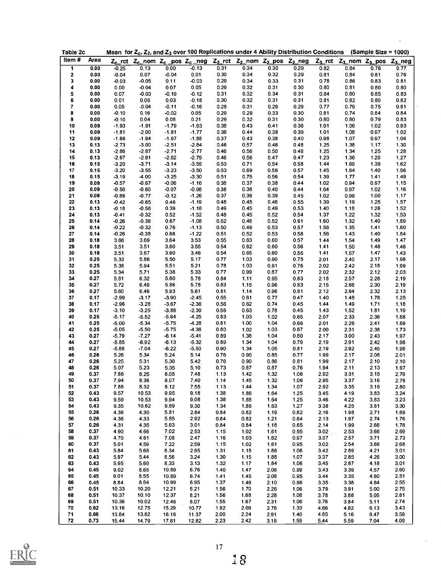| Table 2c    |      |         |         |         |         |      |                                                                                                                                                                 |      |              |                        | Mean for $Z_c$ , $Z_2$ , and $Z_3$ over 100 Replications under 4 Ability Distribution Conditions (Sample Size = 1000) |      |      |
|-------------|------|---------|---------|---------|---------|------|-----------------------------------------------------------------------------------------------------------------------------------------------------------------|------|--------------|------------------------|-----------------------------------------------------------------------------------------------------------------------|------|------|
| Item#       | Area |         |         |         |         |      | Z <sub>c</sub> _rct Z <sub>c</sub> _nom Z <sub>c</sub> _pos Z <sub>c</sub> _neg Z <sub>2</sub> _rct Z <sub>2</sub> _nom Z <sub>2</sub> _pos Z <sub>2</sub> _neg |      |              |                        | $Z_3$ _rct $Z_3$ _nom $Z_3$ _pos $Z_3$ _neg                                                                           |      |      |
| 1           | 0.00 | $-0.25$ | 0.13    | 0.00    | $-0.13$ | 0.31 | 0.34                                                                                                                                                            | 0.30 | 0.29         | 0.82                   | 0.84                                                                                                                  | 0.76 | 0.77 |
| $\mathbf 2$ | 0.00 | $-0.04$ | 0.07    | $-0.04$ | 0.01    | 0.30 | 0.34                                                                                                                                                            | 0.32 | 0.29         | 0.81                   | 0.84                                                                                                                  | 0.81 | 0.76 |
| 3           | 0.00 | $-0.03$ | $-0.05$ | 0.11    | $-0.03$ | 0.29 | 0.34                                                                                                                                                            | 0.33 | 0.31         | 0.78                   | 0.86                                                                                                                  | 0.83 | 0.81 |
| 4           | 0.00 | 0.00    | $-0.04$ | 0.07    | 0.05    | 0.29 | 0.32                                                                                                                                                            | 0.31 | 0.30         | 0.80                   | 0.81                                                                                                                  | 0.80 | 0.80 |
| 5           | 0.00 | 0.07    | $-0.03$ | $-0.19$ | $-0.12$ | 0.31 | 0.32                                                                                                                                                            | 0.34 | 0.31         | 0.84                   | 0.80                                                                                                                  | 0.85 | 0.83 |
| 6           | 0.00 | 0.01    | 0.05    | 0.03    | $-0.18$ | 0.30 | 0.32                                                                                                                                                            | 0.31 | 0.31         | 0.81                   | 0.82                                                                                                                  | 0.80 | 0.82 |
| 7           | 0.00 | 0.05    | $-0.04$ | $-0.11$ | $-0.16$ | 0.28 | 0.31                                                                                                                                                            | 0.29 | 0.29         | 0.77                   | 0.79                                                                                                                  | 0.75 | 0.81 |
| 8           | 0.00 | $-0.10$ | 0.16    | $-0.02$ | 0.05    | 0.29 | 0.29                                                                                                                                                            | 0.33 | 0.30         | 0.81                   | 0.74                                                                                                                  | 0.84 | 0.84 |
| 9           | 0.00 | $-0.10$ | 0.04    | 0.08    | 0.21    | 0.29 | 0.32                                                                                                                                                            | 0.31 | 0.30         | 0.80                   | 0.80                                                                                                                  | 0.79 | 0.83 |
| 10          | 0.09 | $-1.93$ |         |         |         | 0.38 |                                                                                                                                                                 |      |              |                        |                                                                                                                       |      | 0.93 |
|             | 0.09 |         | $-1.91$ | $-1.79$ | $-1.63$ |      | 0.43<br>0.44                                                                                                                                                    | 0.41 | 0.36<br>0.39 | 1.01                   | 1.06<br>1.08                                                                                                          | 1.02 | 1.02 |
| 11          |      | $-1.81$ | $-2.00$ | $-1.81$ | $-1.77$ | 0.38 |                                                                                                                                                                 | 0.38 |              | 1.01                   |                                                                                                                       | 0.97 |      |
| 12          | 0.09 | $-1.66$ | $-1.94$ | $-1.67$ | $-1.88$ | 0.37 | 0.43                                                                                                                                                            | 0.38 | 0.40         | 0.98                   | 1.07                                                                                                                  | 0.97 | 1.04 |
| 13          | 0.13 | $-2.73$ | $-3.00$ | $-2.51$ | $-2.84$ | 0.46 | 0.57                                                                                                                                                            | 0.46 | 0.48         | 1.25                   | 1.38                                                                                                                  | 1.17 | 1.30 |
| 14          | 0.13 | $-2.86$ | $-2.87$ | $-2.71$ | $-2.77$ | 0.46 | 0.56                                                                                                                                                            | 0.50 | 0.48         | 1.25                   | 1.34                                                                                                                  | 1.25 | 1.28 |
| 15          | 0.13 | $-2.67$ | $-2.91$ | $-2.62$ | $-2.79$ | 0.46 | 0.56                                                                                                                                                            | 0.47 | 0.47         | 1.23                   | 1.36                                                                                                                  | 1.20 | 1.27 |
| 16          | 0.15 | $-3.20$ | $-3.71$ | $-3.14$ | $-3.55$ | 0.53 | 0.71                                                                                                                                                            | 0.54 | 0.58         | 1.44                   | 1.69                                                                                                                  | 1.39 | 1.62 |
| 17          | 0.15 | $-3.20$ | $-3.55$ | $-3.23$ | $-3.50$ | 0.53 | 0.69                                                                                                                                                            | 0.56 | 0.57         | 1.45                   | 1.64                                                                                                                  | 1.40 | 1.56 |
| 18          | 0.15 | $-3.19$ | $-4.00$ | $-3.25$ | $-3.30$ | 0.51 | 0.75                                                                                                                                                            | 0.56 | 0.54         | 1.39                   | 1.77                                                                                                                  | 1.41 | 1.49 |
| 19          | 0.09 | $-0.57$ | $-0.67$ | $-0.06$ | $-1.16$ | 0.38 | 0.37                                                                                                                                                            | 0.38 | 0.44         | 1.02                   | 0.94                                                                                                                  | 0.97 | 1.15 |
| 20          | 0.09 | $-0.50$ | $-0.60$ | $-0.07$ | $-0.98$ | 0.38 | 0.38                                                                                                                                                            | 0.40 | 0.44         | 1.04                   | 0.97                                                                                                                  | 1.02 | 1.16 |
| 21          | 0.09 | $-0.86$ | $-0.77$ | $-0.12$ | $-1.26$ | 0.37 | 0.39                                                                                                                                                            | 0.39 | 0.45         | 1.02                   | 0.99                                                                                                                  | 1.00 | 1.17 |
| 22          | 0.13 | $-0.42$ | $-0.65$ | 0.46    | $-1.19$ | 0.48 | 0.45                                                                                                                                                            | 0.48 | 0.55         | 1.39                   | 1.19                                                                                                                  | 1.25 | 1.57 |
| 23          | 0.13 | $-0.18$ | $-0.56$ | 0.39    | $-1.18$ | 0.49 | 0.45                                                                                                                                                            | 0.49 | 0.53         | 1.40                   | 1.18                                                                                                                  | 1.26 | 1.52 |
| 24          | 0.13 | $-0.41$ | $-0.32$ | 0.52    | $-1.52$ | 0.48 | 0.45                                                                                                                                                            | 0.52 | 0.54         | 1.37                   | 1.22                                                                                                                  | 1.32 | 1.53 |
| 25          | 0.14 | $-0.26$ | $-0.36$ | 0.67    | $-1.08$ | 0.52 | 0.48                                                                                                                                                            | 0.52 | 0.61         | 1.60                   | 1.32                                                                                                                  | 1.40 | 1.89 |
| 26          | 0.14 | $-0.22$ | $-0.32$ | 0.76    | $-1.13$ | 0.50 | 0.49                                                                                                                                                            | 0.53 | 0.57         | 1.56                   | 1.35                                                                                                                  | 1.41 | 1.80 |
| 27          | 0.14 | $-0.26$ | $-0.38$ | 0.68    | $-1.22$ | 0.51 | 0.52                                                                                                                                                            | 0.53 | 0.58         | 1.56                   | 1.43                                                                                                                  | 1.40 | 1.84 |
| 28          | 0.18 | 3.66    | 3.69    | 3.64    | 3.53    | 0.55 | 0.63                                                                                                                                                            | 0.60 | 0.57         | 1.44                   | 1.54                                                                                                                  | 1.49 | 1.47 |
| 29          | 0.18 | 3.51    | 3.51    | 3.60    | 3.55    | 0.54 | 0.62                                                                                                                                                            | 0.60 | 0.56         | 1.41                   | 1.50                                                                                                                  | 1.48 | 1.46 |
| 30          | 0.18 | 3.51    | 3.67    | 3.60    | 3.46    | 0.54 | 0.65                                                                                                                                                            | 0.60 | 0.55         | 1.41                   | 1.57                                                                                                                  | 1.47 | 1.43 |
| 31          | 0.25 | 5.33    | 5.86    | 5.50    | 5.17    | 0.77 | 1.03                                                                                                                                                            | 0.90 | 0.75         | 2.01                   | 2.40                                                                                                                  | 2.17 | 1.98 |
| 32          | 0.25 | 5.38    | 5.94    | 5.51    | 5.21    | 0.78 | 1.03                                                                                                                                                            | 0.91 | 0.76         | 2.02                   | 2.42                                                                                                                  | 2.18 | 1.99 |
| 33          | 0.25 | 5.34    | 5.71    | 5.38    | 5.33    | 0.77 | 0.99                                                                                                                                                            | 0.87 | 0.77         | 2.02                   | 2.32                                                                                                                  | 2.12 | 2.03 |
| 34          | 0.27 | 5.81    | 6.32    | 5.80    | 5.78    | 0.84 | 1.11                                                                                                                                                            | 0.95 | 0.83         | 2.18                   | 2.57                                                                                                                  | 2.28 | 2.19 |
| 35          | 0.27 | 5.72    | 6.49    | 5.86    | 5.78    | 0.83 | 1.15                                                                                                                                                            | 0.96 | 0.83         | 2.15                   | 2.66                                                                                                                  | 2.30 | 2.19 |
| 36          | 0.27 | 5.60    | 6.46    | 5.93    | 5.61    | 0.81 | 1.14                                                                                                                                                            | 0.96 | 0.81         | 2.12                   | 2.64                                                                                                                  | 2.32 | 2.13 |
| 37          | 0.17 | $-2.99$ | $-3.17$ | $-3.90$ | $-2.45$ | 0.55 | 0.61                                                                                                                                                            | 0.77 | 0.47         | 1.40                   | 1.48                                                                                                                  | 1.78 | 1.25 |
| 38          | 0.17 | $-2.96$ | $-3.28$ | $-3.67$ | $-2.36$ | 0.56 | 0.62                                                                                                                                                            | 0.74 | 0.45         | 1.44                   | 1.49                                                                                                                  | 1.71 | 1.18 |
| 39          | 0.17 | $-3.10$ | $-3.25$ | $-3.88$ | $-2.39$ | 0.56 | 0.63                                                                                                                                                            | 0.78 | 0.45         | 1.43                   | 1.52                                                                                                                  | 181  | 1.19 |
|             | 0.25 | $-5.17$ | $-5.52$ | $-5.64$ | $-4.25$ | 0.83 | 1.03                                                                                                                                                            |      | 0.65         | 2.07                   | 2.33                                                                                                                  | 2.36 | 1.68 |
| 40          | 0.25 |         |         |         | -4.28   |      | 1.00                                                                                                                                                            | 1.02 |              |                        |                                                                                                                       |      |      |
| 41          |      | $-5.00$ | $-5.34$ | $-5.75$ |         | 0.81 |                                                                                                                                                                 | 1.04 | 0.66         | 2.01                   | 2.26                                                                                                                  | 2.41 | 1.69 |
| 42          | 0.25 | $-5.05$ | $-5.50$ | $-5.75$ | -4 36   | 0.80 | 1.02                                                                                                                                                            | 1.03 | 0.67         | 2.00                   | 2.31                                                                                                                  | 2.38 | 1.73 |
| 43          | 0.27 | $-5.79$ | $-7.27$ | $-6.14$ | $-541$  | 0.89 | 1.38                                                                                                                                                            | 1.04 | 0.80         | 2.17                   | 3.00                                                                                                                  | 2.43 | 1.97 |
| 44          | 0.27 | $-5.85$ | $-6.92$ | $-6.13$ | $-5.32$ | 0.89 | 1.34                                                                                                                                                            | 1.04 | 0.79         | 2.19                   | 2.91                                                                                                                  | 2.42 | 1.96 |
| 45          | 0.27 | $-5.88$ | $-7.04$ | $-6.22$ | $-5.50$ | 0.90 | 1.34                                                                                                                                                            | 1.05 | 0.81         | 2.19                   | 2.92                                                                                                                  | 2.45 | 1.98 |
| 46          | 0.26 | 5.26    | 5.34    | 5.24    | 5.14    | 0.76 | 0.90                                                                                                                                                            | 0.85 | 0.77         | 1.99                   | 2.17                                                                                                                  | 2.08 | 2.01 |
| 47          | 0.26 | 5.25    | 5.31    | 5.30    | 5.42    | 0.76 | 0.90                                                                                                                                                            | 0.86 | 0.81         | 1.99                   | 2.17                                                                                                                  | 2.10 | 2.10 |
| 48          | 0.26 | 5.07    | 5.23    | 5.35    | 5.10    | 0.73 | 0.87                                                                                                                                                            | 0.87 | 0.76         | 1.94                   | 2.11                                                                                                                  | 2.13 | 1.97 |
| 49          | 0.37 | 7.86    | 8.25    | 8.05    | 7.48    | 1.13 | 1.42                                                                                                                                                            | 1.32 | 1.06         | 2.92                   | 3.31                                                                                                                  | 3.15 | 2.79 |
| 50          | 0.37 | 7.94    | 8.36    | 8.07    | 7.40    | 1.14 | 1.45                                                                                                                                                            | 1.32 | 1.06         | 2.95                   | 3.37                                                                                                                  | 3.16 | 2.78 |
| 51          | 0.37 | 7.86    | 8.32    | 8.12    | 7.55    | 1.13 | 1.44                                                                                                                                                            | 1.34 | 1.07         | 2.92                   | 3.35                                                                                                                  | 3.19 | 2.80 |
| 52          | 0.43 | 9.57    | 10.53   | 9.95    | 9.18    | 1.38 | 1.86                                                                                                                                                            | 1.64 | 1.25         | 3.45                   | 4.19                                                                                                                  | 3.83 | 3.24 |
| 53          | 0.43 | 9.59    | 10.53   | 9.94    | 9.08    | 1.38 | 1.88                                                                                                                                                            | 1.64 | 1.25         | 3.46                   | 4.22                                                                                                                  | 3.83 | 3.23 |
| 54          | 0.43 | 9.35    | 10.62   | 9.89    | 9.30    | 1.34 | 1.89                                                                                                                                                            | 1.63 | 1.27         | 3.38                   | 4.25                                                                                                                  | 3.81 | 3.30 |
| 55          | 0.26 | 4.36    | 4.30    | 5.81    | 2.84    | 0.84 | 0.82                                                                                                                                                            | 1.19 | 0.62         | 2.16                   | 1.98                                                                                                                  | 2.71 | 1.69 |
| 56          | 0.26 | 4.36    | 4.33    | 5.85    | 2.92    | 0.84 | 0.82                                                                                                                                                            | 1.21 | 0.64         | 2.13                   | 1.97                                                                                                                  | 2.74 | 1.76 |
| 57          | 0.26 | 4.31    | 4.35    | 5.63    | 3.01    | 0.84 | 0.84                                                                                                                                                            | 1.18 | 0.65         | 2.14                   | 1.99                                                                                                                  | 2.66 | 1.78 |
| 58          | 0.37 | 4.90    | 4.66    | 7.02    | 2.53    | 1.15 | 1.02                                                                                                                                                            | 1.61 | 0.95         | 3.02<br>$\mathbb{R}^2$ | 2.53                                                                                                                  | 3.66 | 2.69 |
| 59          | 0.37 | 4.70    | 4.61    | 7.08    | 2.47    | 1.16 | 1.03                                                                                                                                                            | 1.62 | 0.97         | 3.07                   | 2.57                                                                                                                  | 3.71 | 2.73 |
| 60          | 0.37 | 5.01    | 4.59    | 7.22    | 2.59    | 1.15 | 1.02                                                                                                                                                            | 1.61 | 0.95         | 3.02                   | 2.54                                                                                                                  | 3.66 | 2.68 |
| 61          | 0.43 | 5.84    | 5.68    | 8.34    | 2.95    | 1.31 | 1.18                                                                                                                                                            | 1.86 | 1.06         | 3.42                   | 2.89                                                                                                                  | 4.21 | 3.01 |
| 62          | 0.43 | 5.97    | 5.44    | 8.56    | 3.24    | 1.30 | 1.15                                                                                                                                                            | 1.88 | 1.07         | 3.37                   | 2.85                                                                                                                  | 4.26 | 3.00 |
| 63          | 0.43 | 5.95    | 5.69    | 8.33    | 3.13    | 1.32 | 1.17                                                                                                                                                            | 1.84 | 1.06         | 3.45                   | 2.87                                                                                                                  | 4.18 | 3.01 |
| 64          | 0.45 | 9.02    | 8.65    | 10.89   | 6.76    | 1.40 | 1.47                                                                                                                                                            | 2.06 | 0.99         | 3.43                   | 3.39                                                                                                                  | 4.57 | 2.60 |
| 65          | 0.45 | 9.01    | 8.55    | 10.89   | 6.74    | 1.41 | 1.45                                                                                                                                                            | 2.08 | 0.95         | 3.44                   | 3.35                                                                                                                  | 4.60 | 2.51 |
| 66          | 0.45 | 8.84    | 8.54    | 10.99   | 6.95    | 1.37 | 1.46                                                                                                                                                            | 2.10 | 0.98         | 3.35                   | 3.38                                                                                                                  | 4.64 | 2.55 |
|             |      |         |         |         |         |      |                                                                                                                                                                 |      |              |                        |                                                                                                                       |      |      |
| 67          | 0.51 | 10.33   | 10.20   | 12.21   | 8.21    | 1.56 | 1.70                                                                                                                                                            | 2.26 | 1.06         | 3.79                   | 3.91                                                                                                                  | 5.00 | 2.75 |
| 68          | 0.51 | 10.37   | 10.10   | 12.37   | 8.21    | 1.56 | 1.68                                                                                                                                                            | 2.28 | 1.08         | 3.78                   | 3.88                                                                                                                  | 5.05 | 2.81 |
| 69          | 0.51 | 10.36   | 10.02   | 12.46   | 8.07    | 1.55 | 1.67                                                                                                                                                            | 2.31 | 1.06         | 3.76                   | 3.84                                                                                                                  | 5.11 | 2.74 |
| 70          | 0.62 | 13.16   | 12.75   | 15.29   | 10.77   | 1.92 | 2.09                                                                                                                                                            | 2.76 | 1.33         | 4.66                   | 4.82                                                                                                                  | 6.13 | 3.43 |
| 71          | 0.66 | 13.84   | 13.62   | 16.16   | 11.37   | 2.00 | 2.24                                                                                                                                                            | 2.91 | 1.40         | 485                    | 5.16                                                                                                                  | 6.47 | 3.59 |
| 72          | 0.73 | 15.44   | 14.79   | 17.61   | 12.82   | 2.23 | 2.42                                                                                                                                                            | 3.16 | 1.59         | 5.44                   | 5.59                                                                                                                  | 7.04 | 4.09 |

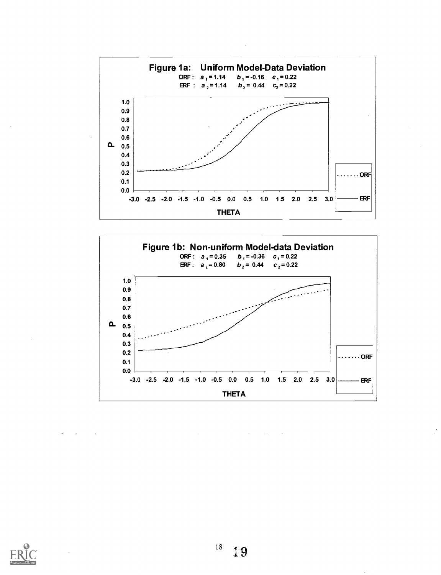

![](_page_18_Figure_1.jpeg)

У.

![](_page_18_Picture_2.jpeg)

 $18\,$ 19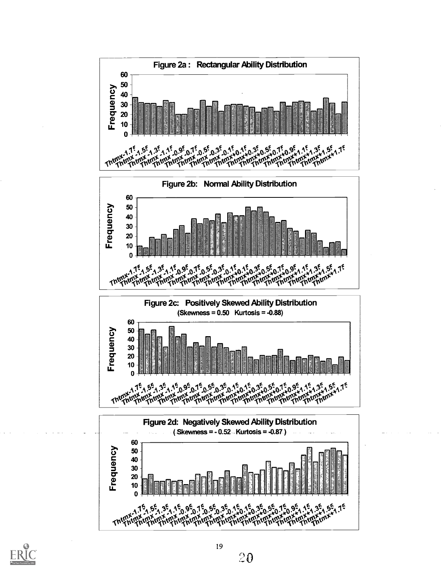![](_page_19_Figure_0.jpeg)

![](_page_19_Picture_1.jpeg)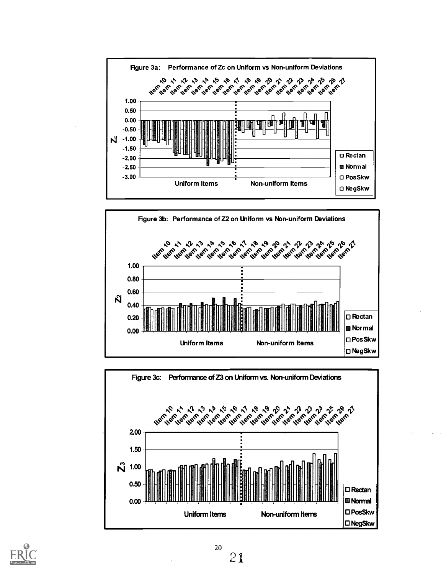![](_page_20_Figure_0.jpeg)

![](_page_20_Figure_1.jpeg)

![](_page_20_Figure_2.jpeg)

![](_page_20_Picture_3.jpeg)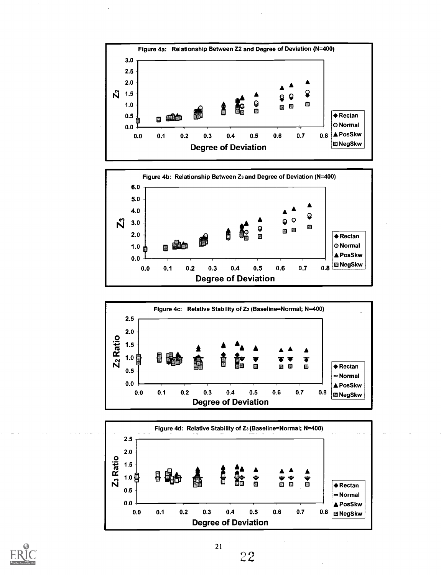![](_page_21_Figure_0.jpeg)

![](_page_21_Figure_1.jpeg)

![](_page_21_Figure_2.jpeg)

![](_page_21_Figure_3.jpeg)

![](_page_21_Picture_4.jpeg)

22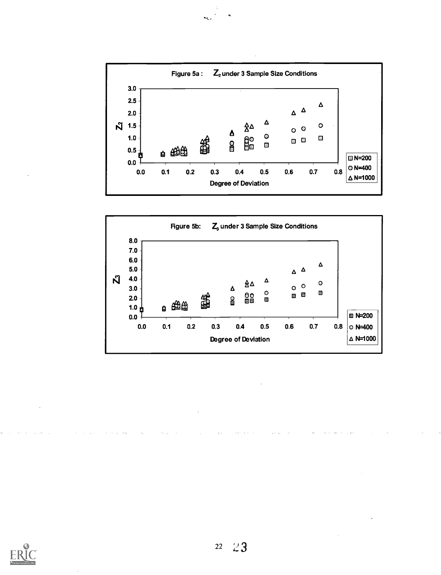![](_page_22_Figure_0.jpeg)

![](_page_22_Figure_1.jpeg)

![](_page_22_Picture_2.jpeg)

 $\ddot{\phantom{a}}$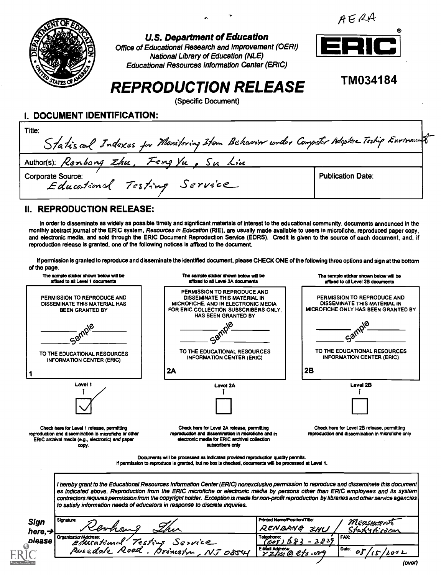![](_page_23_Picture_0.jpeg)

U.S. Department of Education

Office of Educational Research and Improvement (OERI) National Library of Education (NLE) Educational Resources Information Center (ERIC)

![](_page_23_Picture_3.jpeg)

TM034184

## REPRODUCTION RELEASE

(Specific Document)

I. DOCUMENT IDENTIFICATION:

| Title:<br>Statiscal Indexes for Monitoring Item Behavior under Computer Adoptive Testip Environant |                          |  |
|----------------------------------------------------------------------------------------------------|--------------------------|--|
| Author(s): Renbang Zhu, Feng Yu, Su Lin                                                            |                          |  |
| Corporate Source:<br>Educational Testing Service                                                   | <b>Publication Date:</b> |  |

#### II. REPRODUCTION RELEASE:

In order to disseminate as widely as possible timely and significant materials of interest to the educational community, documents announced in the monthly abstract journal of the ERIC system, Resources in Education (RIE), are usually made available to users in microfiche, reproduced paper copy, and electronic media, and sold through the ERIC Document Reproduction Service (EDRS). Credit is given to the source of each document, and, if reproduction release is granted, one of the following notices is affixed to the document.

If permission is granted to reproduce and disseminate the identified document, please CHECK ONE of the following three options and sign at the bottom of the page.

![](_page_23_Figure_12.jpeg)